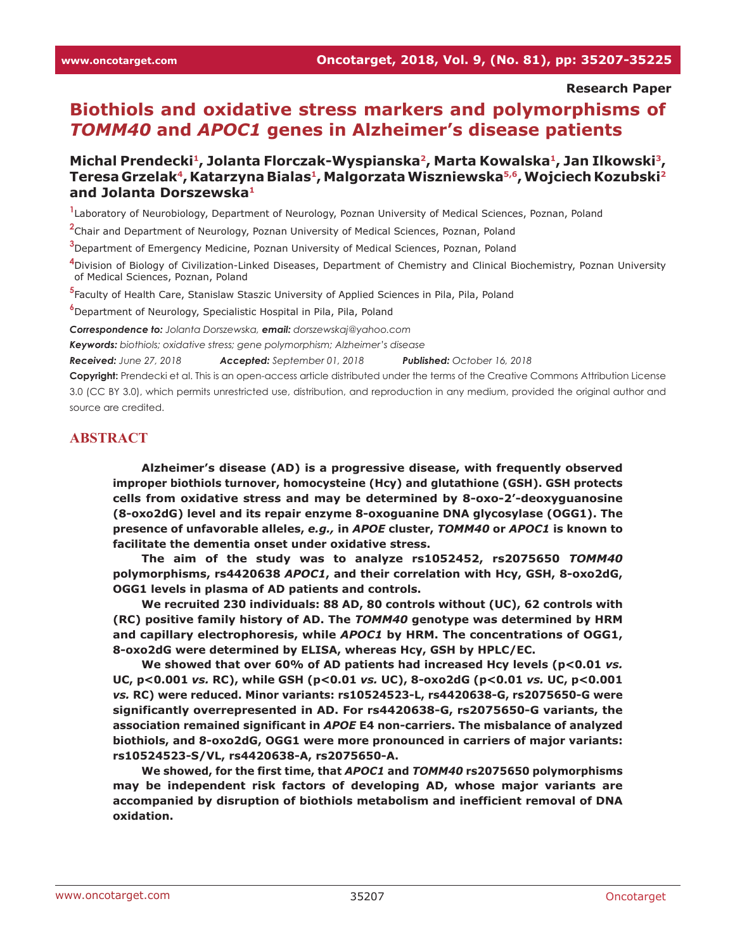#### **Research Paper**

# **Biothiols and oxidative stress markers and polymorphisms of**  *TOMM40* **and** *APOC1* **genes in Alzheimer's disease patients**

## **Michal Prendecki1, Jolanta Florczak-Wyspianska2, Marta Kowalska1, Jan Ilkowski3, Teresa Grzelak4, Katarzyna Bialas1, Malgorzata Wiszniewska5,6, Wojciech Kozubski2 and Jolanta Dorszewska1**

**1** Laboratory of Neurobiology, Department of Neurology, Poznan University of Medical Sciences, Poznan, Poland

**2** Chair and Department of Neurology, Poznan University of Medical Sciences, Poznan, Poland

**3** Department of Emergency Medicine, Poznan University of Medical Sciences, Poznan, Poland

**4** Division of Biology of Civilization-Linked Diseases, Department of Chemistry and Clinical Biochemistry, Poznan University of Medical Sciences, Poznan, Poland

**5** Faculty of Health Care, Stanislaw Staszic University of Applied Sciences in Pila, Pila, Poland

**6** Department of Neurology, Specialistic Hospital in Pila, Pila, Poland

*Correspondence to: Jolanta Dorszewska, email: dorszewskaj@yahoo.com*

*Keywords: biothiols; oxidative stress; gene polymorphism; Alzheimer's disease*

*Received: June 27, 2018 Accepted: September 01, 2018 Published: October 16, 2018*

**Copyright:** Prendecki et al. This is an open-access article distributed under the terms of the Creative Commons Attribution License 3.0 (CC BY 3.0), which permits unrestricted use, distribution, and reproduction in any medium, provided the original author and source are credited.

#### **ABSTRACT**

**Alzheimer's disease (AD) is a progressive disease, with frequently observed improper biothiols turnover, homocysteine (Hcy) and glutathione (GSH). GSH protects cells from oxidative stress and may be determined by 8-oxo-2'-deoxyguanosine (8-oxo2dG) level and its repair enzyme 8-oxoguanine DNA glycosylase (OGG1). The presence of unfavorable alleles,** *e.g.,* **in** *APOE* **cluster,** *TOMM40* **or** *APOC1* **is known to facilitate the dementia onset under oxidative stress.**

**The aim of the study was to analyze rs1052452, rs2075650** *TOMM40* **polymorphisms, rs4420638** *APOC1***, and their correlation with Hcy, GSH, 8-oxo2dG, OGG1 levels in plasma of AD patients and controls.**

**We recruited 230 individuals: 88 AD, 80 controls without (UC), 62 controls with (RC) positive family history of AD. The** *TOMM40* **genotype was determined by HRM and capillary electrophoresis, while** *APOC1* **by HRM. The concentrations of OGG1, 8-oxo2dG were determined by ELISA, whereas Hcy, GSH by HPLC/EC.**

**We showed that over 60% of AD patients had increased Hcy levels (p<0.01** *vs.* **UC, p<0.001** *vs.* **RC), while GSH (p<0.01** *vs.* **UC), 8-oxo2dG (p<0.01** *vs.* **UC, p<0.001**  *vs.* **RC) were reduced. Minor variants: rs10524523-L, rs4420638-G, rs2075650-G were significantly overrepresented in AD. For rs4420638-G, rs2075650-G variants, the association remained significant in** *APOE* **E4 non-carriers. The misbalance of analyzed biothiols, and 8-oxo2dG, OGG1 were more pronounced in carriers of major variants: rs10524523-S/VL, rs4420638-A, rs2075650-A.**

**We showed, for the first time, that** *APOC1* **and** *TOMM40* **rs2075650 polymorphisms may be independent risk factors of developing AD, whose major variants are accompanied by disruption of biothiols metabolism and inefficient removal of DNA oxidation.**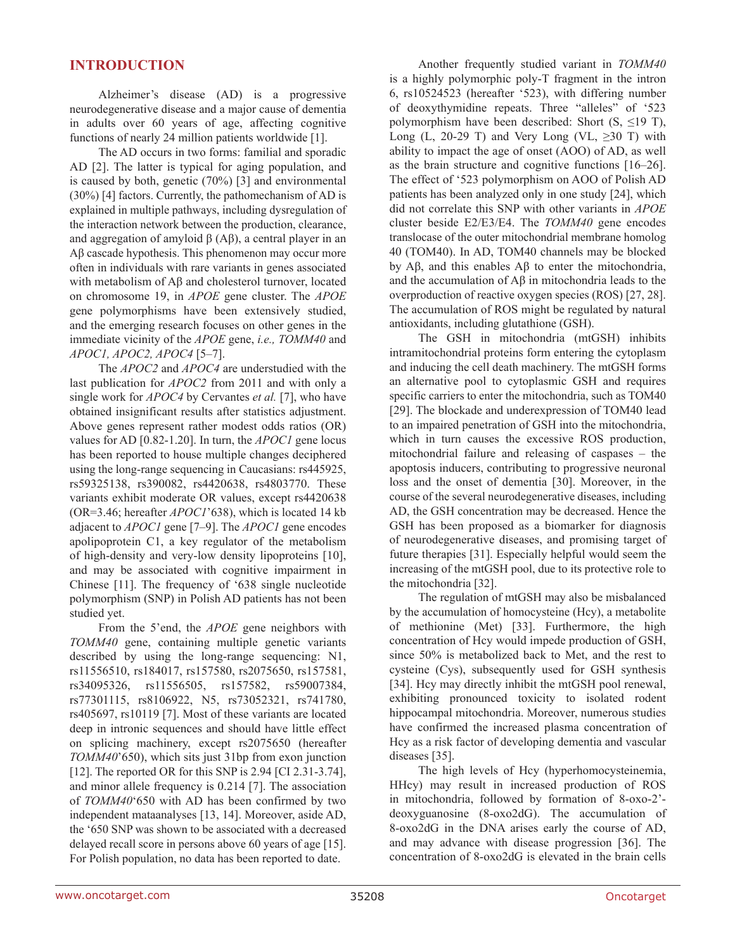## **INTRODUCTION**

Alzheimer's disease (AD) is a progressive neurodegenerative disease and a major cause of dementia in adults over 60 years of age, affecting cognitive functions of nearly 24 million patients worldwide [1].

The AD occurs in two forms: familial and sporadic AD [2]. The latter is typical for aging population, and is caused by both, genetic (70%) [3] and environmental (30%) [4] factors. Currently, the pathomechanism of AD is explained in multiple pathways, including dysregulation of the interaction network between the production, clearance, and aggregation of amyloid  $β$  (A $β$ ), a central player in an Aβ cascade hypothesis. This phenomenon may occur more often in individuals with rare variants in genes associated with metabolism of Aβ and cholesterol turnover, located on chromosome 19, in *APOE* gene cluster. The *APOE* gene polymorphisms have been extensively studied, and the emerging research focuses on other genes in the immediate vicinity of the *APOE* gene, *i.e., TOMM40* and *APOC1, APOC2, APOC4* [5–7].

The *APOC2* and *APOC4* are understudied with the last publication for *APOC2* from 2011 and with only a single work for *APOC4* by Cervantes *et al.* [7], who have obtained insignificant results after statistics adjustment. Above genes represent rather modest odds ratios (OR) values for AD [0.82-1.20]. In turn, the *APOC1* gene locus has been reported to house multiple changes deciphered using the long-range sequencing in Caucasians: rs445925, rs59325138, rs390082, rs4420638, rs4803770. These variants exhibit moderate OR values, except rs4420638 (OR=3.46; hereafter *APOC1*'638), which is located 14 kb adjacent to *APOC1* gene [7–9]. The *APOC1* gene encodes apolipoprotein C1, a key regulator of the metabolism of high-density and very-low density lipoproteins [10], and may be associated with cognitive impairment in Chinese [11]. The frequency of '638 single nucleotide polymorphism (SNP) in Polish AD patients has not been studied yet.

From the 5'end, the *APOE* gene neighbors with *TOMM40* gene, containing multiple genetic variants described by using the long-range sequencing: N1, rs11556510, rs184017, rs157580, rs2075650, rs157581, rs34095326, rs11556505, rs157582, rs59007384, rs77301115, rs8106922, N5, rs73052321, rs741780, rs405697, rs10119 [7]. Most of these variants are located deep in intronic sequences and should have little effect on splicing machinery, except rs2075650 (hereafter *TOMM40*'650), which sits just 31bp from exon junction [12]. The reported OR for this SNP is 2.94 [CI 2.31-3.74], and minor allele frequency is 0.214 [7]. The association of *TOMM40*'650 with AD has been confirmed by two independent mataanalyses [13, 14]. Moreover, aside AD, the '650 SNP was shown to be associated with a decreased delayed recall score in persons above 60 years of age [15]. For Polish population, no data has been reported to date.

Another frequently studied variant in *TOMM40* is a highly polymorphic poly-T fragment in the intron 6, rs10524523 (hereafter '523), with differing number of deoxythymidine repeats. Three "alleles" of '523 polymorphism have been described: Short  $(S, \leq 19 T)$ , Long (L, 20-29 T) and Very Long (VL,  $\geq 30$  T) with ability to impact the age of onset (AOO) of AD, as well as the brain structure and cognitive functions [16–26]. The effect of '523 polymorphism on AOO of Polish AD patients has been analyzed only in one study [24], which did not correlate this SNP with other variants in *APOE* cluster beside E2/E3/E4. The *TOMM40* gene encodes translocase of the outer mitochondrial membrane homolog 40 (TOM40). In AD, TOM40 channels may be blocked by Aβ, and this enables Aβ to enter the mitochondria, and the accumulation of Aβ in mitochondria leads to the overproduction of reactive oxygen species (ROS) [27, 28]. The accumulation of ROS might be regulated by natural antioxidants, including glutathione (GSH).

The GSH in mitochondria (mtGSH) inhibits intramitochondrial proteins form entering the cytoplasm and inducing the cell death machinery. The mtGSH forms an alternative pool to cytoplasmic GSH and requires specific carriers to enter the mitochondria, such as TOM40 [29]. The blockade and underexpression of TOM40 lead to an impaired penetration of GSH into the mitochondria, which in turn causes the excessive ROS production, mitochondrial failure and releasing of caspases – the apoptosis inducers, contributing to progressive neuronal loss and the onset of dementia [30]. Moreover, in the course of the several neurodegenerative diseases, including AD, the GSH concentration may be decreased. Hence the GSH has been proposed as a biomarker for diagnosis of neurodegenerative diseases, and promising target of future therapies [31]. Especially helpful would seem the increasing of the mtGSH pool, due to its protective role to the mitochondria [32].

The regulation of mtGSH may also be misbalanced by the accumulation of homocysteine (Hcy), a metabolite of methionine (Met) [33]. Furthermore, the high concentration of Hcy would impede production of GSH, since 50% is metabolized back to Met, and the rest to cysteine (Cys), subsequently used for GSH synthesis [34]. Hey may directly inhibit the mtGSH pool renewal, exhibiting pronounced toxicity to isolated rodent hippocampal mitochondria. Moreover, numerous studies have confirmed the increased plasma concentration of Hcy as a risk factor of developing dementia and vascular diseases [35].

The high levels of Hcy (hyperhomocysteinemia, HHcy) may result in increased production of ROS in mitochondria, followed by formation of 8-oxo-2' deoxyguanosine (8-oxo2dG). The accumulation of 8-oxo2dG in the DNA arises early the course of AD, and may advance with disease progression [36]. The concentration of 8-oxo2dG is elevated in the brain cells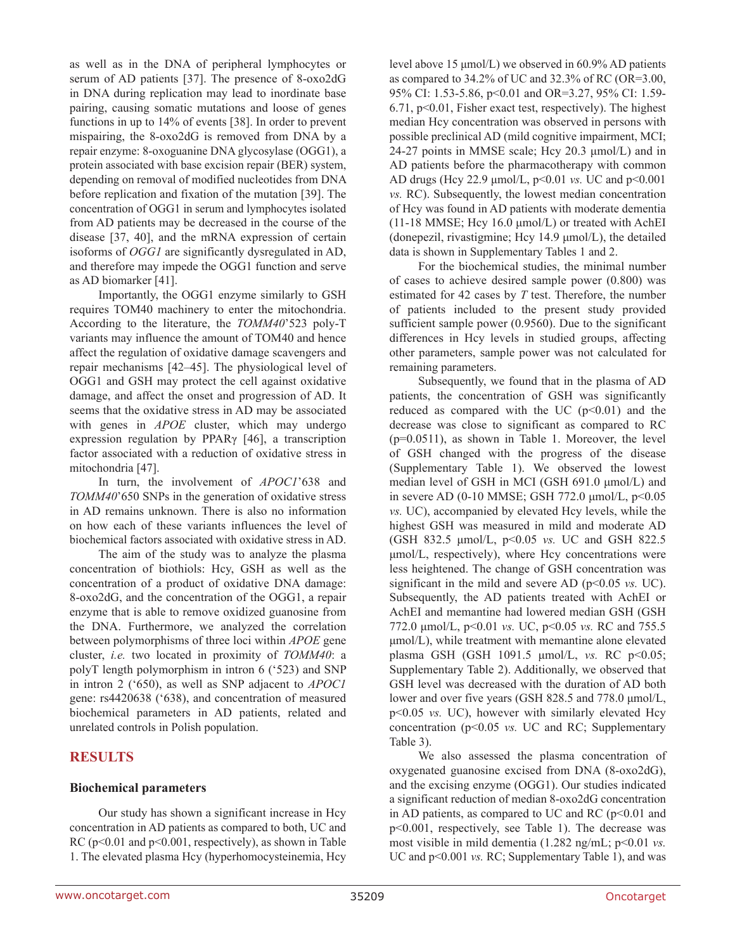as well as in the DNA of peripheral lymphocytes or serum of AD patients [37]. The presence of 8-oxo2dG in DNA during replication may lead to inordinate base pairing, causing somatic mutations and loose of genes functions in up to 14% of events [38]. In order to prevent mispairing, the 8-oxo2dG is removed from DNA by a repair enzyme: 8-oxoguanine DNA glycosylase (OGG1), a protein associated with base excision repair (BER) system, depending on removal of modified nucleotides from DNA before replication and fixation of the mutation [39]. The concentration of OGG1 in serum and lymphocytes isolated from AD patients may be decreased in the course of the disease [37, 40], and the mRNA expression of certain isoforms of *OGG1* are significantly dysregulated in AD, and therefore may impede the OGG1 function and serve as AD biomarker [41].

Importantly, the OGG1 enzyme similarly to GSH requires TOM40 machinery to enter the mitochondria. According to the literature, the *TOMM40*'523 poly-T variants may influence the amount of TOM40 and hence affect the regulation of oxidative damage scavengers and repair mechanisms [42–45]. The physiological level of OGG1 and GSH may protect the cell against oxidative damage, and affect the onset and progression of AD. It seems that the oxidative stress in AD may be associated with genes in *APOE* cluster, which may undergo expression regulation by PPARγ [46], a transcription factor associated with a reduction of oxidative stress in mitochondria [47].

In turn, the involvement of *APOC1*'638 and *TOMM40*'650 SNPs in the generation of oxidative stress in AD remains unknown. There is also no information on how each of these variants influences the level of biochemical factors associated with oxidative stress in AD.

The aim of the study was to analyze the plasma concentration of biothiols: Hcy, GSH as well as the concentration of a product of oxidative DNA damage: 8-oxo2dG, and the concentration of the OGG1, a repair enzyme that is able to remove oxidized guanosine from the DNA. Furthermore, we analyzed the correlation between polymorphisms of three loci within *APOE* gene cluster, *i.e.* two located in proximity of *TOMM40*: a polyT length polymorphism in intron 6 ('523) and SNP in intron 2 ('650), as well as SNP adjacent to *APOC1* gene: rs4420638 ('638), and concentration of measured biochemical parameters in AD patients, related and unrelated controls in Polish population.

# **RESULTS**

#### **Biochemical parameters**

Our study has shown a significant increase in Hcy concentration in AD patients as compared to both, UC and RC ( $p<0.01$  and  $p<0.001$ , respectively), as shown in Table 1. The elevated plasma Hcy (hyperhomocysteinemia, Hcy level above 15 μmol/L) we observed in 60.9% AD patients as compared to 34.2% of UC and 32.3% of RC (OR=3.00, 95% CI: 1.53-5.86, p<0.01 and OR=3.27, 95% CI: 1.59- 6.71, p<0.01, Fisher exact test, respectively). The highest median Hcy concentration was observed in persons with possible preclinical AD (mild cognitive impairment, MCI; 24-27 points in MMSE scale; Hcy 20.3 μmol/L) and in AD patients before the pharmacotherapy with common AD drugs (Hcy 22.9 μmol/L, p<0.01 *vs.* UC and p<0.001 *vs.* RC). Subsequently, the lowest median concentration of Hcy was found in AD patients with moderate dementia (11-18 MMSE; Hcy 16.0 μmol/L) or treated with AchEI (donepezil, rivastigmine; Hcy 14.9 μmol/L), the detailed data is shown in Supplementary Tables 1 and 2.

For the biochemical studies, the minimal number of cases to achieve desired sample power (0.800) was estimated for 42 cases by *T* test. Therefore, the number of patients included to the present study provided sufficient sample power (0.9560). Due to the significant differences in Hcy levels in studied groups, affecting other parameters, sample power was not calculated for remaining parameters.

Subsequently, we found that in the plasma of AD patients, the concentration of GSH was significantly reduced as compared with the UC  $(p<0.01)$  and the decrease was close to significant as compared to RC (p=0.0511), as shown in Table 1. Moreover, the level of GSH changed with the progress of the disease (Supplementary Table 1). We observed the lowest median level of GSH in MCI (GSH 691.0 μmol/L) and in severe AD (0-10 MMSE; GSH  $772.0 \mu$ mol/L,  $p<0.05$ *vs.* UC), accompanied by elevated Hcy levels, while the highest GSH was measured in mild and moderate AD (GSH 832.5 μmol/L, p<0.05 *vs.* UC and GSH 822.5 μmol/L, respectively), where Hcy concentrations were less heightened. The change of GSH concentration was significant in the mild and severe AD (p<0.05 *vs.* UC). Subsequently, the AD patients treated with AchEI or AchEI and memantine had lowered median GSH (GSH 772.0 μmol/L, p<0.01 *vs.* UC, p<0.05 *vs.* RC and 755.5 μmol/L), while treatment with memantine alone elevated plasma GSH (GSH 1091.5 μmol/L, *vs.* RC p<0.05; Supplementary Table 2). Additionally, we observed that GSH level was decreased with the duration of AD both lower and over five years (GSH 828.5 and 778.0 μmol/L, p<0.05 *vs.* UC), however with similarly elevated Hcy concentration (p<0.05 *vs.* UC and RC; Supplementary Table 3).

We also assessed the plasma concentration of oxygenated guanosine excised from DNA (8-oxo2dG), and the excising enzyme (OGG1). Our studies indicated a significant reduction of median 8-oxo2dG concentration in AD patients, as compared to UC and RC ( $p<0.01$  and p<0.001, respectively, see Table 1). The decrease was most visible in mild dementia (1.282 ng/mL; p<0.01 *vs.* UC and p<0.001 *vs.* RC; Supplementary Table 1), and was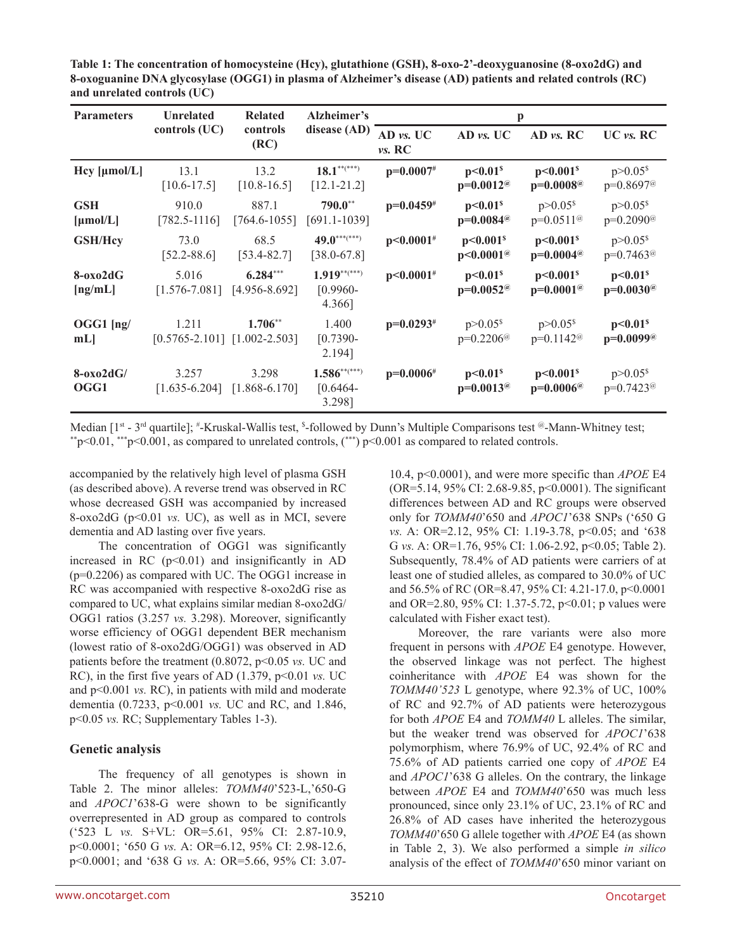| Table 1: The concentration of homocysteine (Hcy), glutathione (GSH), 8-oxo-2'-deoxyguanosine (8-oxo2dG) and  |
|--------------------------------------------------------------------------------------------------------------|
| 8-oxoguanine DNA glycosylase (OGG1) in plasma of Alzheimer's disease (AD) patients and related controls (RC) |
| and unrelated controls (UC)                                                                                  |

| <b>Parameters</b>         | <b>Unrelated</b>                              | <b>Related</b>                  | Alzheimer's                         |                     | p                                                   |                                                      |                                                     |  |  |
|---------------------------|-----------------------------------------------|---------------------------------|-------------------------------------|---------------------|-----------------------------------------------------|------------------------------------------------------|-----------------------------------------------------|--|--|
|                           | controls (UC)                                 | controls<br>(RC)                | disease (AD)                        | AD vs. UC<br>vs. RC | $AD$ vs. UC                                         | AD vs. RC                                            | $UC$ <i>vs.</i> $RC$                                |  |  |
| Hcy [µmol/L]              | 13.1<br>$[10.6 - 17.5]$                       | 13.2<br>$[10.8 - 16.5]$         | $18.1***$<br>$[12.1 - 21.2]$        | $p=0.0007#$         | p<0.01 <sup>s</sup><br>$p=0.0012^{\omega}$          | p<0.001 <sup>s</sup><br>$p=0.0008$ <sup>@</sup>      | $p > 0.05$ <sup>\$</sup><br>$p=0.8697^{\circ}$      |  |  |
| <b>GSH</b><br>[µmol/L]    | 910.0<br>$[782.5 - 1116]$                     | 887.1<br>$[764.6 - 1055]$       | $790.0**$<br>$[691.1 - 1039]$       | $p=0.0459$ #        | p<0.01 <sup>s</sup><br>$p=0.0084^{\circ}$           | $p > 0.05$ <sup>s</sup><br>$p=0.0511^{\omega}$       | $p > 0.05$ <sup>s</sup><br>$p=0.2090^{\circ}$       |  |  |
| <b>GSH/Hcy</b>            | 73.0<br>$[52.2 - 88.6]$                       | 68.5<br>$[53.4 - 82.7]$         | $49.0******$<br>$[38.0 - 67.8]$     | $p<0.0001$ #        | p<0.001 <sup>s</sup><br>$p<0.0001$ <sup>@</sup>     | p<0.001 <sup>s</sup><br>$p=0.0004$ <sup>@</sup>      | $p > 0.05$ <sup>\$</sup><br>$p=0.7463^{\circ\circ}$ |  |  |
| $8-0x02dG$<br>[ng/mL]     | 5.016<br>$[1.576 - 7.081]$                    | $6.284***$<br>$[4.956 - 8.692]$ | $1.919***$<br>$[0.9960 -$<br>4.366] | $p<0.0001$ #        | p<0.01 <sup>s</sup><br>$p=0.0052^{\circ}$           | p<0.001 <sup>s</sup><br>$p=0.0001@$                  | p<0.01 <sup>s</sup><br>$p=0.0030^{\circ}$           |  |  |
| $OGG1$ $\vert$ ng/<br>mL  | 1.211<br>$[0.5765 - 2.101]$ $[1.002 - 2.503]$ | $1.706**$                       | 1.400<br>$[0.7390-$<br>2.194]       | $p=0.0293^{#}$      | $p > 0.05$ <sup>\$</sup><br>$p=0.2206$ <sup>@</sup> | $p > 0.05$ <sup>s</sup><br>$p=0.1142^{\circledcirc}$ | p<0.01 <sup>s</sup><br>$p=0.0099\%$                 |  |  |
| $8-\alpha x_02dG$<br>OGG1 | 3.257<br>$[1.635 - 6.204]$                    | 3.298<br>$[1.868-6.170]$        | $1.586***$<br>$[0.6464-$<br>3.298]  | $p=0.0006#$         | p<0.01 <sup>s</sup><br>$p=0.0013$ <sup>@</sup>      | p<0.001 <sup>s</sup><br>$p=0.0006$ <sup>@</sup>      | $p > 0.05$ <sup>s</sup><br>p=0.7423 <sup>@</sup>    |  |  |

Median [1<sup>st</sup> - 3<sup>rd</sup> quartile]; #-Kruskal-Wallis test, <sup>\$</sup>  $\gamma$ \*p<0.01, \*\*\*p<0.001, as compared to unrelated controls,  $\gamma$ \*\*) p<0.001 as compared to related controls.

accompanied by the relatively high level of plasma GSH (as described above). A reverse trend was observed in RC whose decreased GSH was accompanied by increased 8-oxo2dG (p<0.01 *vs.* UC), as well as in MCI, severe dementia and AD lasting over five years.

The concentration of OGG1 was significantly increased in RC  $(p<0.01)$  and insignificantly in AD (p=0.2206) as compared with UC. The OGG1 increase in RC was accompanied with respective 8-oxo2dG rise as compared to UC, what explains similar median 8-oxo2dG/ OGG1 ratios (3.257 *vs.* 3.298). Moreover, significantly worse efficiency of OGG1 dependent BER mechanism (lowest ratio of 8-oxo2dG/OGG1) was observed in AD patients before the treatment (0.8072, p<0.05 *vs.* UC and RC), in the first five years of AD (1.379, p<0.01 *vs.* UC and p<0.001 *vs.* RC), in patients with mild and moderate dementia (0.7233, p<0.001 *vs.* UC and RC, and 1.846, p<0.05 *vs.* RC; Supplementary Tables 1-3).

## **Genetic analysis**

The frequency of all genotypes is shown in Table 2. The minor alleles: *TOMM40*'523-L,'650-G and *APOC1*'638-G were shown to be significantly overrepresented in AD group as compared to controls ('523 L *vs.* S+VL: OR=5.61, 95% CI: 2.87-10.9, p<0.0001; '650 G *vs.* A: OR=6.12, 95% CI: 2.98-12.6, p<0.0001; and '638 G *vs.* A: OR=5.66, 95% CI: 3.0710.4, p<0.0001), and were more specific than *APOE* E4 (OR=5.14, 95% CI: 2.68-9.85, p<0.0001). The significant differences between AD and RC groups were observed only for *TOMM40*'650 and *APOC1*'638 SNPs ('650 G *vs.* A: OR=2.12, 95% CI: 1.19-3.78, p<0.05; and '638 G *vs.* A: OR=1.76, 95% CI: 1.06-2.92, p<0.05; Table 2). Subsequently, 78.4% of AD patients were carriers of at least one of studied alleles, as compared to 30.0% of UC and 56.5% of RC (OR=8.47, 95% CI: 4.21-17.0, p<0.0001 and OR=2.80, 95% CI: 1.37-5.72, p<0.01; p values were calculated with Fisher exact test).

Moreover, the rare variants were also more frequent in persons with *APOE* E4 genotype. However, the observed linkage was not perfect. The highest coinheritance with *APOE* E4 was shown for the *TOMM40'523* L genotype, where 92.3% of UC, 100% of RC and 92.7% of AD patients were heterozygous for both *APOE* E4 and *TOMM40* L alleles. The similar, but the weaker trend was observed for *APOC1*'638 polymorphism, where 76.9% of UC, 92.4% of RC and 75.6% of AD patients carried one copy of *APOE* E4 and *APOC1*'638 G alleles. On the contrary, the linkage between *APOE* E4 and *TOMM40*'650 was much less pronounced, since only 23.1% of UC, 23.1% of RC and 26.8% of AD cases have inherited the heterozygous *TOMM40*'650 G allele together with *APOE* E4 (as shown in Table 2, 3). We also performed a simple *in silico* analysis of the effect of *TOMM40*'650 minor variant on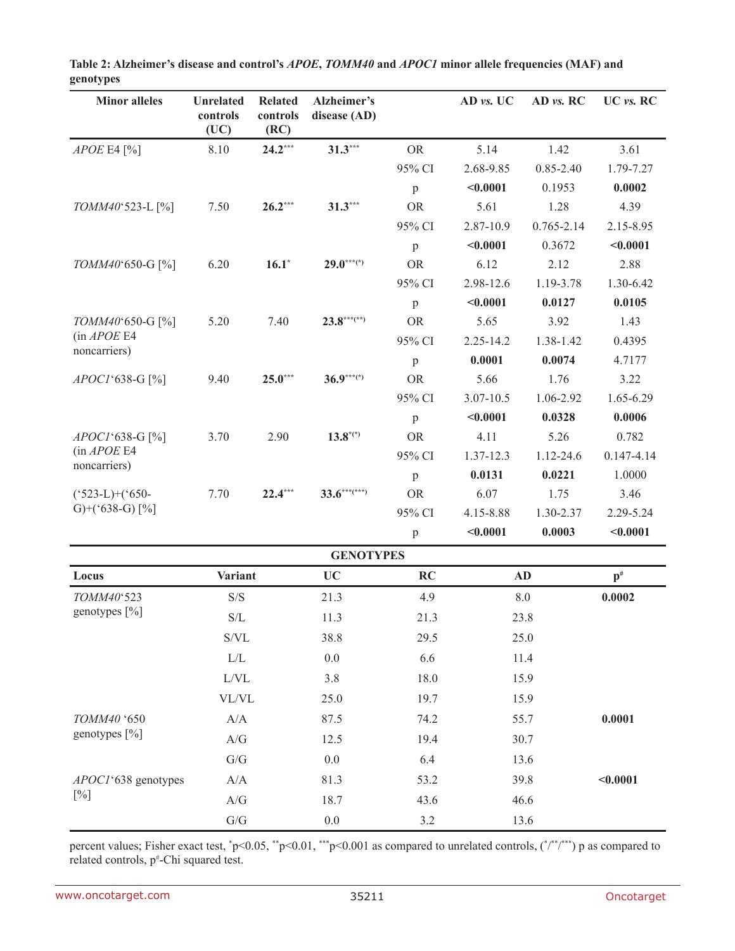| <b>Minor alleles</b>              | <b>Unrelated</b>                                    | <b>Related</b>   | Alzheimer's                   |              | AD vs. UC     | AD vs. RC      | UC vs. RC      |
|-----------------------------------|-----------------------------------------------------|------------------|-------------------------------|--------------|---------------|----------------|----------------|
|                                   | controls<br>(UC)                                    | controls<br>(RC) | disease (AD)                  |              |               |                |                |
| $APOE$ E4 [%]                     | 8.10                                                | $24.2***$        | $31.3***$                     | <b>OR</b>    | 5.14          | 1.42           | 3.61           |
|                                   |                                                     |                  |                               | 95% CI       | 2.68-9.85     | $0.85 - 2.40$  | 1.79-7.27      |
|                                   |                                                     |                  |                               | $\mathbf{p}$ | < 0.0001      | 0.1953         | 0.0002         |
| TOMM40'523-L [%]                  | 7.50                                                | $26.2***$        | $31.3***$                     | <b>OR</b>    | 5.61          | 1.28           | 4.39           |
|                                   |                                                     |                  |                               | 95% CI       | 2.87-10.9     | $0.765 - 2.14$ | 2.15-8.95      |
|                                   |                                                     |                  |                               | $\mathbf{p}$ | < 0.0001      | 0.3672         | < 0.0001       |
| TOMM40'650-G [%]                  | 6.20                                                | $16.1*$          | $29.0***$                     | <b>OR</b>    | 6.12          | 2.12           | 2.88           |
|                                   |                                                     |                  |                               | 95% CI       | 2.98-12.6     | 1.19-3.78      | 1.30-6.42      |
|                                   |                                                     |                  |                               | $\mathbf{p}$ | < 0.0001      | 0.0127         | 0.0105         |
| TOMM40'650-G [%]                  | 5.20                                                | 7.40             | $23.8***$ <sup>***</sup> (**) | <b>OR</b>    | 5.65          | 3.92           | 1.43           |
| (in APOE E4<br>noncarriers)       |                                                     |                  |                               | 95% CI       | $2.25 - 14.2$ | 1.38-1.42      | 0.4395         |
|                                   |                                                     |                  |                               | $\mathbf{p}$ | 0.0001        | 0.0074         | 4.7177         |
| APOC1'638-G [%]                   | 9.40                                                | $25.0***$        | $36.9***$                     | <b>OR</b>    | 5.66          | 1.76           | 3.22           |
|                                   |                                                     |                  |                               | 95% CI       | $3.07 - 10.5$ | 1.06-2.92      | $1.65 - 6.29$  |
|                                   |                                                     |                  |                               | $\mathbf{p}$ | < 0.0001      | 0.0328         | 0.0006         |
| APOC1'638-G [%]                   | 3.70                                                | 2.90             | $13.8^{*(*)}$                 | <b>OR</b>    | 4.11          | 5.26           | 0.782          |
| (in APOE E4<br>noncarriers)       |                                                     |                  |                               | 95% CI       | 1.37-12.3     | 1.12-24.6      | $0.147 - 4.14$ |
|                                   |                                                     |                  |                               | $\mathbf{p}$ | 0.0131        | 0.0221         | 1.0000         |
| $(^{\circ}523-L)+(^{\circ}650-L)$ | 7.70                                                | $22.4***$        | $33.6***$                     | <b>OR</b>    | 6.07          | 1.75           | 3.46           |
| G)+('638-G) $[%]$                 |                                                     |                  |                               | 95% CI       | 4.15-8.88     | 1.30-2.37      | 2.29-5.24      |
|                                   |                                                     |                  |                               | p            | < 0.0001      | 0.0003         | < 0.0001       |
|                                   |                                                     |                  | <b>GENOTYPES</b>              |              |               |                |                |
| Locus                             | <b>Variant</b>                                      |                  | <b>UC</b>                     | <b>RC</b>    |               | <b>AD</b>      | $\mathbf{p}^*$ |
| TOMM40°523                        | S/S                                                 |                  | 21.3                          | 4.9          |               | 8.0            | 0.0002         |
| genotypes [%]                     | $\ensuremath{\mathrm{S}}/\ensuremath{\mathrm{L}}$   |                  | 11.3                          | 21.3         |               | 23.8           |                |
|                                   | $\mathrm{S/VL}$                                     |                  | 38.8                          | 29.5         |               | 25.0           |                |
|                                   | $\rm L/L$                                           |                  | $0.0\,$                       | 6.6          |               | 11.4           |                |
|                                   | L/VL                                                |                  | 3.8                           | 18.0         |               | 15.9           |                |
|                                   | VL/VL                                               |                  | 25.0                          | 19.7         |               | 15.9           |                |
| TOMM40 '650                       | A/A                                                 |                  | 87.5                          | 74.2         |               | 55.7           | 0.0001         |
| genotypes [%]                     | $\ensuremath{\mathcal{A}}/\ensuremath{\mathcal{G}}$ |                  | 12.5                          | 19.4         | 30.7          |                |                |
|                                   | ${\mathrm G}/{\mathrm G}$                           |                  | $0.0\,$                       | 6.4          |               | 13.6           |                |
| APOC1'638 genotypes               | A/A                                                 |                  | 81.3                          | 53.2         |               | 39.8           | < 0.0001       |
| $[\%]$                            | A/G                                                 |                  | 18.7                          | 43.6         |               | 46.6           |                |
|                                   | ${\mathbf G}/{\mathbf G}$                           |                  | $0.0\,$                       | 3.2          |               | 13.6           |                |

**Table 2: Alzheimer's disease and control's** *APOE***,** *TOMM40* **and** *APOC1* **minor allele frequencies (MAF) and genotypes**

percent values; Fisher exact test,  $p<0.05$ ,  $\binom{*}{p}<0.01$ ,  $\binom{*}{p}<0.001$  as compared to unrelated controls,  $\binom{*}{r}$ ,  $\binom{*}{r}$ ,  $p$  as compared to related controls, p#-Chi squared test.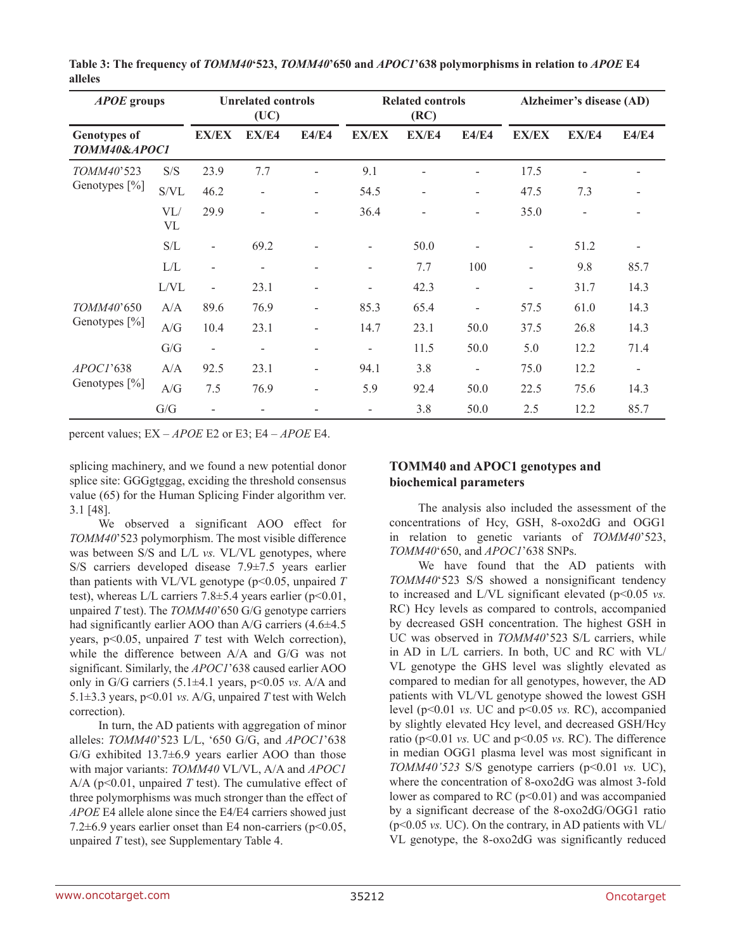| <b>APOE</b> groups                  |           |                          | <b>Unrelated controls</b><br>(UC) |                          | <b>Related controls</b><br>(RC) |                          |                              | Alzheimer's disease (AD) |                          |              |  |
|-------------------------------------|-----------|--------------------------|-----------------------------------|--------------------------|---------------------------------|--------------------------|------------------------------|--------------------------|--------------------------|--------------|--|
| <b>Genotypes of</b><br>TOMM40&APOC1 |           | <b>EX/EX</b>             | EX/E4                             | E4/E4                    | <b>EX/EX</b>                    | EX/E4                    | E4/E4                        | <b>EX/EX</b>             | EX/E4                    | <b>E4/E4</b> |  |
| TOMM40'523                          | S/S       | 23.9                     | 7.7                               | $\overline{\phantom{a}}$ | 9.1                             |                          |                              | 17.5                     | $\blacksquare$           |              |  |
| Genotypes [%]                       | S/VL      | 46.2                     | $\overline{\phantom{a}}$          | -                        | 54.5                            | $\overline{\phantom{0}}$ | $\qquad \qquad \blacksquare$ | 47.5                     | 7.3                      |              |  |
|                                     | VL/<br>VL | 29.9                     |                                   |                          | 36.4                            |                          |                              | 35.0                     | $\overline{\phantom{a}}$ |              |  |
|                                     | S/L       | Ξ.                       | 69.2                              |                          | $\overline{\phantom{a}}$        | 50.0                     |                              | $\overline{\phantom{a}}$ | 51.2                     |              |  |
|                                     | L/L       | $\overline{\phantom{0}}$ | $\overline{\phantom{a}}$          | -                        | $\overline{\phantom{a}}$        | 7.7                      | 100                          | $\overline{\phantom{a}}$ | 9.8                      | 85.7         |  |
|                                     | L/VL      | $\overline{\phantom{0}}$ | 23.1                              | -                        | $\overline{\phantom{a}}$        | 42.3                     | $\overline{\phantom{0}}$     |                          | 31.7                     | 14.3         |  |
| TOMM40'650                          | A/A       | 89.6                     | 76.9                              | $\overline{\phantom{0}}$ | 85.3                            | 65.4                     |                              | 57.5                     | 61.0                     | 14.3         |  |
| Genotypes [%]                       | A/G       | 10.4                     | 23.1                              |                          | 14.7                            | 23.1                     | 50.0                         | 37.5                     | 26.8                     | 14.3         |  |
|                                     | G/G       | $\overline{\phantom{a}}$ | $\overline{\phantom{a}}$          | $\overline{\phantom{0}}$ | $\overline{\phantom{a}}$        | 11.5                     | 50.0                         | 5.0                      | 12.2                     | 71.4         |  |
| APOCI'638<br>Genotypes [%]          | A/A       | 92.5                     | 23.1                              | -                        | 94.1                            | 3.8                      | $\qquad \qquad \blacksquare$ | 75.0                     | 12.2                     |              |  |
|                                     | A/G       | 7.5                      | 76.9                              |                          | 5.9                             | 92.4                     | 50.0                         | 22.5                     | 75.6                     | 14.3         |  |
|                                     | G/G       |                          |                                   |                          | $\overline{\phantom{a}}$        | 3.8                      | 50.0                         | 2.5                      | 12.2                     | 85.7         |  |

**Table 3: The frequency of** *TOMM40***'523,** *TOMM40***'650 and** *APOC1***'638 polymorphisms in relation to** *APOE* **E4 alleles**

percent values; EX – *APOE* E2 or E3; E4 – *APOE* E4.

splicing machinery, and we found a new potential donor splice site: GGGgtggag, exciding the threshold consensus value (65) for the Human Splicing Finder algorithm ver. 3.1 [48].

We observed a significant AOO effect for *TOMM40*'523 polymorphism. The most visible difference was between S/S and L/L *vs.* VL/VL genotypes, where S/S carriers developed disease 7.9±7.5 years earlier than patients with VL/VL genotype (p<0.05, unpaired *T* test), whereas L/L carriers  $7.8 \pm 5.4$  years earlier (p<0.01, unpaired *T* test). The *TOMM40*'650 G/G genotype carriers had significantly earlier AOO than A/G carriers (4.6±4.5) years, p<0.05, unpaired *T* test with Welch correction), while the difference between A/A and G/G was not significant. Similarly, the *APOC1*'638 caused earlier AOO only in G/G carriers (5.1±4.1 years, p<0.05 *vs.* A/A and 5.1 $\pm$ 3.3 years, p<0.01 *vs.* A/G, unpaired *T* test with Welch correction).

In turn, the AD patients with aggregation of minor alleles: *TOMM40*'523 L/L, '650 G/G, and *APOC1*'638 G/G exhibited  $13.7\pm6.9$  years earlier AOO than those with major variants: *TOMM40* VL/VL, A/A and *APOC1* A/A ( $p<0.01$ , unpaired *T* test). The cumulative effect of three polymorphisms was much stronger than the effect of *APOE* E4 allele alone since the E4/E4 carriers showed just 7.2 $\pm$ 6.9 years earlier onset than E4 non-carriers (p<0.05, unpaired *T* test), see Supplementary Table 4.

## **TOMM40 and APOC1 genotypes and biochemical parameters**

The analysis also included the assessment of the concentrations of Hcy, GSH, 8-oxo2dG and OGG1 in relation to genetic variants of *TOMM40*'523, *TOMM40*'650, and *APOC1*'638 SNPs.

We have found that the AD patients with *TOMM40*'523 S/S showed a nonsignificant tendency to increased and L/VL significant elevated (p<0.05 *vs.* RC) Hcy levels as compared to controls, accompanied by decreased GSH concentration. The highest GSH in UC was observed in *TOMM40*'523 S/L carriers, while in AD in L/L carriers. In both, UC and RC with VL/ VL genotype the GHS level was slightly elevated as compared to median for all genotypes, however, the AD patients with VL/VL genotype showed the lowest GSH level (p<0.01 *vs.* UC and p<0.05 *vs.* RC), accompanied by slightly elevated Hcy level, and decreased GSH/Hcy ratio (p<0.01 *vs.* UC and p<0.05 *vs.* RC). The difference in median OGG1 plasma level was most significant in *TOMM40'523* S/S genotype carriers (p<0.01 *vs.* UC), where the concentration of 8-oxo2dG was almost 3-fold lower as compared to RC  $(p<0.01)$  and was accompanied by a significant decrease of the 8-oxo2dG/OGG1 ratio (p<0.05 *vs.* UC). On the contrary, in AD patients with VL/ VL genotype, the 8-oxo2dG was significantly reduced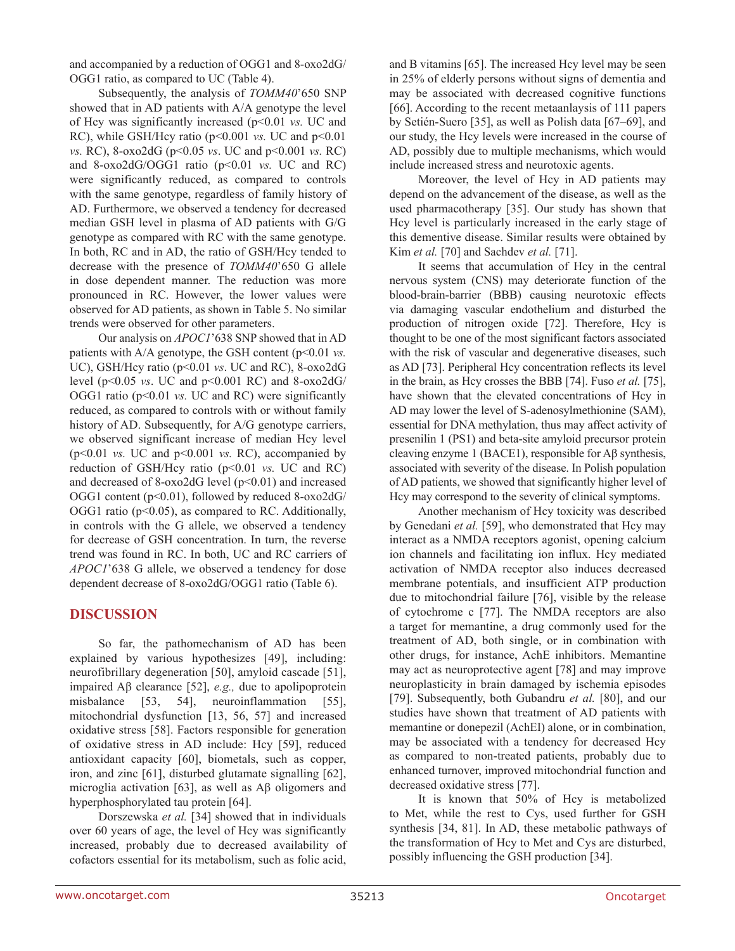and accompanied by a reduction of OGG1 and 8-oxo2dG/ OGG1 ratio, as compared to UC (Table 4).

Subsequently, the analysis of *TOMM40*'650 SNP showed that in AD patients with A/A genotype the level of Hcy was significantly increased (p<0.01 *vs.* UC and RC), while GSH/Hcy ratio (p<0.001 *vs.* UC and p<0.01 *vs.* RC), 8-oxo2dG (p<0.05 *vs*. UC and p<0.001 *vs.* RC) and 8-oxo2dG/OGG1 ratio (p<0.01 *vs.* UC and RC) were significantly reduced, as compared to controls with the same genotype, regardless of family history of AD. Furthermore, we observed a tendency for decreased median GSH level in plasma of AD patients with G/G genotype as compared with RC with the same genotype. In both, RC and in AD, the ratio of GSH/Hcy tended to decrease with the presence of *TOMM40*'650 G allele in dose dependent manner. The reduction was more pronounced in RC. However, the lower values were observed for AD patients, as shown in Table 5. No similar trends were observed for other parameters.

Our analysis on *APOC1*'638 SNP showed that in AD patients with A/A genotype, the GSH content (p<0.01 *vs.* UC), GSH/Hcy ratio (p<0.01 *vs*. UC and RC), 8-oxo2dG level (p<0.05 *vs*. UC and p<0.001 RC) and 8-oxo2dG/ OGG1 ratio ( $p$ <0.01 *vs.* UC and RC) were significantly reduced, as compared to controls with or without family history of AD. Subsequently, for A/G genotype carriers, we observed significant increase of median Hcy level (p<0.01 *vs.* UC and p<0.001 *vs.* RC), accompanied by reduction of GSH/Hcy ratio (p<0.01 *vs.* UC and RC) and decreased of 8-oxo2dG level  $(p<0.01)$  and increased OGG1 content (p<0.01), followed by reduced 8-oxo2dG/ OGG1 ratio ( $p<0.05$ ), as compared to RC. Additionally, in controls with the G allele, we observed a tendency for decrease of GSH concentration. In turn, the reverse trend was found in RC. In both, UC and RC carriers of *APOC1*'638 G allele, we observed a tendency for dose dependent decrease of 8-oxo2dG/OGG1 ratio (Table 6).

## **DISCUSSION**

So far, the pathomechanism of AD has been explained by various hypothesizes [49], including: neurofibrillary degeneration [50], amyloid cascade [51], impaired Aβ clearance [52], *e.g.,* due to apolipoprotein misbalance [53, 54], neuroinflammation [55], mitochondrial dysfunction [13, 56, 57] and increased oxidative stress [58]. Factors responsible for generation of oxidative stress in AD include: Hcy [59], reduced antioxidant capacity [60], biometals, such as copper, iron, and zinc [61], disturbed glutamate signalling [62], microglia activation [63], as well as Aβ oligomers and hyperphosphorylated tau protein [64].

Dorszewska *et al.* [34] showed that in individuals over 60 years of age, the level of Hcy was significantly increased, probably due to decreased availability of cofactors essential for its metabolism, such as folic acid,

and B vitamins [65]. The increased Hcy level may be seen in 25% of elderly persons without signs of dementia and may be associated with decreased cognitive functions [66]. According to the recent metaanlaysis of 111 papers by Setién-Suero [35], as well as Polish data [67–69], and our study, the Hcy levels were increased in the course of AD, possibly due to multiple mechanisms, which would include increased stress and neurotoxic agents.

Moreover, the level of Hcy in AD patients may depend on the advancement of the disease, as well as the used pharmacotherapy [35]. Our study has shown that Hcy level is particularly increased in the early stage of this dementive disease. Similar results were obtained by Kim *et al.* [70] and Sachdev *et al.* [71].

It seems that accumulation of Hcy in the central nervous system (CNS) may deteriorate function of the blood-brain-barrier (BBB) causing neurotoxic effects via damaging vascular endothelium and disturbed the production of nitrogen oxide [72]. Therefore, Hcy is thought to be one of the most significant factors associated with the risk of vascular and degenerative diseases, such as AD [73]. Peripheral Hcy concentration reflects its level in the brain, as Hcy crosses the BBB [74]. Fuso *et al.* [75], have shown that the elevated concentrations of Hcy in AD may lower the level of S-adenosylmethionine (SAM), essential for DNA methylation, thus may affect activity of presenilin 1 (PS1) and beta-site amyloid precursor protein cleaving enzyme 1 (BACE1), responsible for Aβ synthesis, associated with severity of the disease. In Polish population of AD patients, we showed that significantly higher level of Hcy may correspond to the severity of clinical symptoms.

Another mechanism of Hcy toxicity was described by Genedani *et al.* [59], who demonstrated that Hcy may interact as a NMDA receptors agonist, opening calcium ion channels and facilitating ion influx. Hcy mediated activation of NMDA receptor also induces decreased membrane potentials, and insufficient ATP production due to mitochondrial failure [76], visible by the release of cytochrome c [77]. The NMDA receptors are also a target for memantine, a drug commonly used for the treatment of AD, both single, or in combination with other drugs, for instance, AchE inhibitors. Memantine may act as neuroprotective agent [78] and may improve neuroplasticity in brain damaged by ischemia episodes [79]. Subsequently, both Gubandru *et al.* [80], and our studies have shown that treatment of AD patients with memantine or donepezil (AchEI) alone, or in combination, may be associated with a tendency for decreased Hcy as compared to non-treated patients, probably due to enhanced turnover, improved mitochondrial function and decreased oxidative stress [77].

It is known that 50% of Hcy is metabolized to Met, while the rest to Cys, used further for GSH synthesis [34, 81]. In AD, these metabolic pathways of the transformation of Hcy to Met and Cys are disturbed, possibly influencing the GSH production [34].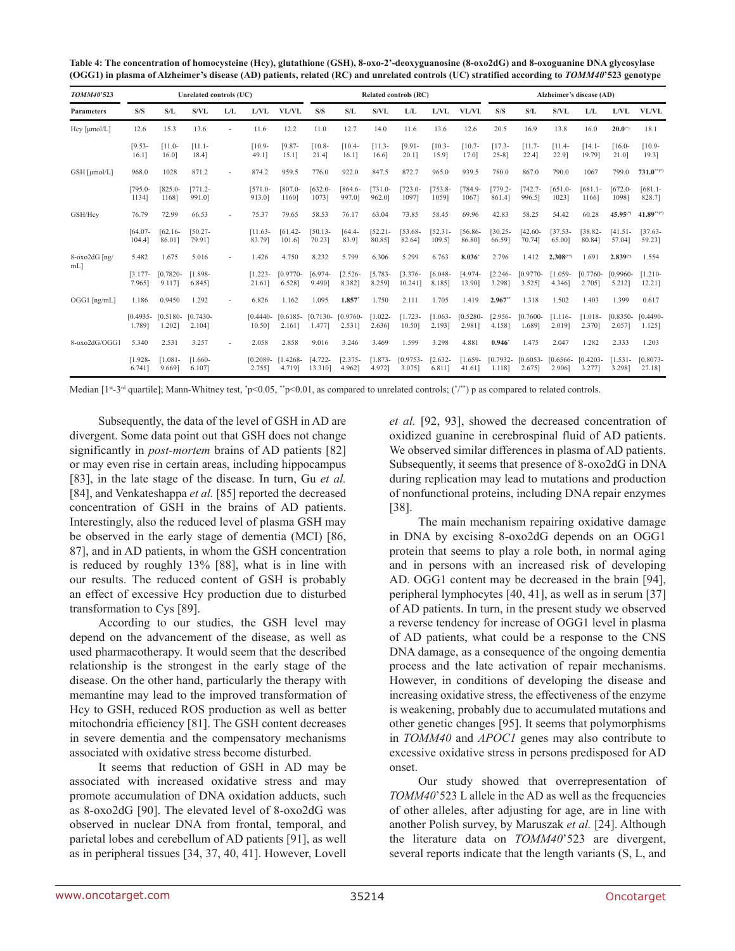| TOMM40'523     |                      |                       | Unrelated controls (UC) |     |                       |                       |                       |                      |                      | Related controls (RC) |                      |                       |                        |                      |                         | Alzheimer's disease (AD) |                      |                       |
|----------------|----------------------|-----------------------|-------------------------|-----|-----------------------|-----------------------|-----------------------|----------------------|----------------------|-----------------------|----------------------|-----------------------|------------------------|----------------------|-------------------------|--------------------------|----------------------|-----------------------|
| Parameters     | S/S                  | S/L                   | S/VL                    | L/L | L/VL                  | <b>VL/VL</b>          | S/S                   | S/L                  | S/VL                 | L/L                   | L/VL                 | VL/VL                 | S/S                    | S/L                  | S/VL                    | L/L                      | L/VL                 | <b>VL/VL</b>          |
| Hcy [µmol/L]   | 12.6                 | 15.3                  | 13.6                    |     | 11.6                  | 12.2                  | 11.0                  | 12.7                 | 14.0                 | 11.6                  | 13.6                 | 12.6                  | 20.5                   | 16.9                 | 13.8                    | 16.0                     | $20.0^{(*)}$         | 18.1                  |
|                | $[9.53-$<br>16.11    | $[11.0 -$<br>16.01    | $[11.1 -$<br>18.41      |     | $[10.9 -$<br>49.11    | $[9.87 -$<br>15.11    | $[10.8 -$<br>21.41    | $[10.4-$<br>16.11    | $[11.3 -$<br>16.6    | $[9.91 -$<br>20.11    | $[10.3 -$<br>15.91   | $[10.7-$<br>17.01     | $[17.3 -$<br>$25 - 81$ | $[11.7-$<br>22.41    | $[11.4 -$<br>22.91      | $[14.1 -$<br>19.791      | $16.0-$<br>21.0      | $[10.9 -$<br>19.31    |
| GSH [µmol/L]   | 968.0                | 1028                  | 871.2                   |     | 874.2                 | 959.5                 | 776.0                 | 922.0                | 847.5                | 872.7                 | 965.0                | 939.5                 | 780.0                  | 867.0                | 790.0                   | 1067                     | 7990                 | $731.0***$            |
|                | $[795.0 -$<br>1134]  | $825.0 -$<br>1168]    | $[771.2 -$<br>991.01    |     | $[571.0 -$<br>913.01  | $1807.0 -$<br>1160]   | $[632.0 -$<br>10731   | $[864.6 -$<br>997.01 | $1731.0 -$<br>962.01 | $1723.0 -$<br>10971   | $753.8 -$<br>10591   | $784.9 -$<br>10671    | $1779.2 -$<br>861.41   | $1742.7 -$<br>996.51 | $[651.0 -$<br>10231     | $[681.1 -$<br>1166]      | $[672.0 -$<br>10981  | $[681.1 -$<br>828.7]  |
| GSH/Hcv        | 76.79                | 72.99                 | 66.53                   |     | 75.37                 | 79.65                 | 58.53                 | 76.17                | 63.04                | 73.85                 | 58.45                | 69.96                 | 42.83                  | 58.25                | 54.42                   | 60.28                    | $45.95^{(4)}$        | $41.89***$            |
|                | $[64.07-$<br>104.41  | $[62.16 -$<br>86.011  | $[50.27 -$<br>79.911    |     | $[11.63-$<br>83.791   | $[61.42-$<br>101.67   | $[50.13 -$<br>70.231  | $[64.4-$<br>83.91    | $[52.21 -$<br>80.85] | $[53.68 -$<br>82.641  | $[52.31 -$<br>109.51 | $[56.86-$<br>86.80]   | $[30.25 -$<br>66.59]   | $[42.60 -$<br>70.741 | $137.53-$<br>65.00]     | $[38.82 -$<br>80.841     | $[41.51-$<br>57.041  | $[37.63-$<br>59.23]   |
| 8-oxo2dG [ng/  | 5.482                | 1.675                 | 5.016                   |     | 1.426                 | 4.750                 | 8.232                 | 5.799                | 6.306                | 5.299                 | 6.763                | 8.036                 | 2.796                  | 1.412                | $2.308$ <sup>(**)</sup> | 1.691                    | $2.839^{(4)}$        | 1.554                 |
| mL             | $[3.177-$<br>7.965]  | $[0.7820 -$<br>9.1171 | $[1.898 -$<br>6.8451    |     | $[1.223 -$<br>21.611  | $[0.9770 -$<br>6.5281 | $[6.974-$<br>9.4901   | $[2.526 -$<br>8.3821 | $[5.783-$<br>8.2591  | $[3.376-$<br>10.2411  | $[6.048 -$<br>8.1851 | [4.974-<br>13.90]     | $[2.246 -$<br>3.298]   | $[0.9770-$<br>3.5251 | $1.059 -$<br>4.3461     | $[0.7760 -$<br>2.705]    | $[0.9960-$<br>5.2121 | $[1.210 -$<br>12.21]  |
| $OGG1$ [ng/mL] | 1.186                | 0.9450                | 1.292                   |     | 6.826                 | 1.162                 | 1.095                 | 1.857                | 1.750                | 2.111                 | 1.705                | 1.419                 | $2.967$ <sup>**</sup>  | 1.318                | 1.502                   | 1.403                    | 1.399                | 0.617                 |
|                | $[0.4935-$<br>1.7891 | $[0.5180 -$<br>1.2021 | $[0.7430 -$<br>2.1041   |     | $[0.4440 -$<br>10.501 | $[0.6185 -$<br>2.1611 | $[0.7130 -$<br>1.4771 | $[0.9760-$<br>2.5311 | $1.022 -$<br>2.6361  | $[1.723 -$<br>10.50]  | $1.063 -$<br>2.1931  | $[0.5280 -$<br>2.981] | $12.956 -$<br>4.1581   | Г0.7600-<br>1.6891   | $1.116-$<br>2.0191      | $[1.018 -$<br>2.3701     | $[0.8350-$<br>2.0571 | $[0.4490 -$<br>1.125] |
| 8-oxo2dG/OGG1  | 5.340                | 2.531                 | 3.257                   |     | 2.058                 | 2.858                 | 9.016                 | 3.246                | 3.469                | 1.599                 | 3.298                | 4.881                 | $0.946^{\circ}$        | 1.475                | 2.047                   | 1.282                    | 2.333                | 1.203                 |
|                | $[1.928 -$<br>6.7411 | $1.081 -$<br>9.6691   | $[1.660-$<br>6.1071     |     | $[0.2089 -$<br>2.755] | $[1.4268 -$<br>4.719] | $[4.722 -$<br>13.3101 | $[2.375-$<br>4.962]  | $[1.873-$<br>4.9721  | $[0.9753-$<br>3.0751  | $[2.632 -$<br>6.811] | $[1.659-$<br>41.61]   | $[0.7932 -$<br>1.118]  | $[0.6053-$<br>2.675] | $[0.6566-$<br>2.906]    | $[0.4203 -$<br>3.2771    | $[1.531 -$<br>3.298] | $[0.8073-$<br>27.18]  |

**Table 4: The concentration of homocysteine (Hcy), glutathione (GSH), 8-oxo-2'-deoxyguanosine (8-oxo2dG) and 8-oxoguanine DNA glycosylase (OGG1) in plasma of Alzheimer's disease (AD) patients, related (RC) and unrelated controls (UC) stratified according to** *TOMM40***'523 genotype**

Median [1st-3<sup>rd</sup> quartile]; Mann-Whitney test, \*p<0.05, \*\*p<0.01, as compared to unrelated controls; (\*/\*\*) p as compared to related controls.

Subsequently, the data of the level of GSH in AD are divergent. Some data point out that GSH does not change significantly in *post-mortem* brains of AD patients [82] or may even rise in certain areas, including hippocampus [83], in the late stage of the disease. In turn, Gu *et al.* [84], and Venkateshappa *et al.* [85] reported the decreased concentration of GSH in the brains of AD patients. Interestingly, also the reduced level of plasma GSH may be observed in the early stage of dementia (MCI) [86, 87], and in AD patients, in whom the GSH concentration is reduced by roughly 13% [88], what is in line with our results. The reduced content of GSH is probably an effect of excessive Hcy production due to disturbed transformation to Cys [89].

According to our studies, the GSH level may depend on the advancement of the disease, as well as used pharmacotherapy. It would seem that the described relationship is the strongest in the early stage of the disease. On the other hand, particularly the therapy with memantine may lead to the improved transformation of Hcy to GSH, reduced ROS production as well as better mitochondria efficiency [81]. The GSH content decreases in severe dementia and the compensatory mechanisms associated with oxidative stress become disturbed.

It seems that reduction of GSH in AD may be associated with increased oxidative stress and may promote accumulation of DNA oxidation adducts, such as 8-oxo2dG [90]. The elevated level of 8-oxo2dG was observed in nuclear DNA from frontal, temporal, and parietal lobes and cerebellum of AD patients [91], as well as in peripheral tissues [34, 37, 40, 41]. However, Lovell *et al.* [92, 93], showed the decreased concentration of oxidized guanine in cerebrospinal fluid of AD patients. We observed similar differences in plasma of AD patients. Subsequently, it seems that presence of 8-oxo2dG in DNA during replication may lead to mutations and production of nonfunctional proteins, including DNA repair enzymes [38].

The main mechanism repairing oxidative damage in DNA by excising 8-oxo2dG depends on an OGG1 protein that seems to play a role both, in normal aging and in persons with an increased risk of developing AD. OGG1 content may be decreased in the brain [94], peripheral lymphocytes [40, 41], as well as in serum [37] of AD patients. In turn, in the present study we observed a reverse tendency for increase of OGG1 level in plasma of AD patients, what could be a response to the CNS DNA damage, as a consequence of the ongoing dementia process and the late activation of repair mechanisms. However, in conditions of developing the disease and increasing oxidative stress, the effectiveness of the enzyme is weakening, probably due to accumulated mutations and other genetic changes [95]. It seems that polymorphisms in *TOMM40* and *APOC1* genes may also contribute to excessive oxidative stress in persons predisposed for AD onset.

Our study showed that overrepresentation of *TOMM40*'523 L allele in the AD as well as the frequencies of other alleles, after adjusting for age, are in line with another Polish survey, by Maruszak *et al.* [24]. Although the literature data on *TOMM40*'523 are divergent, several reports indicate that the length variants (S, L, and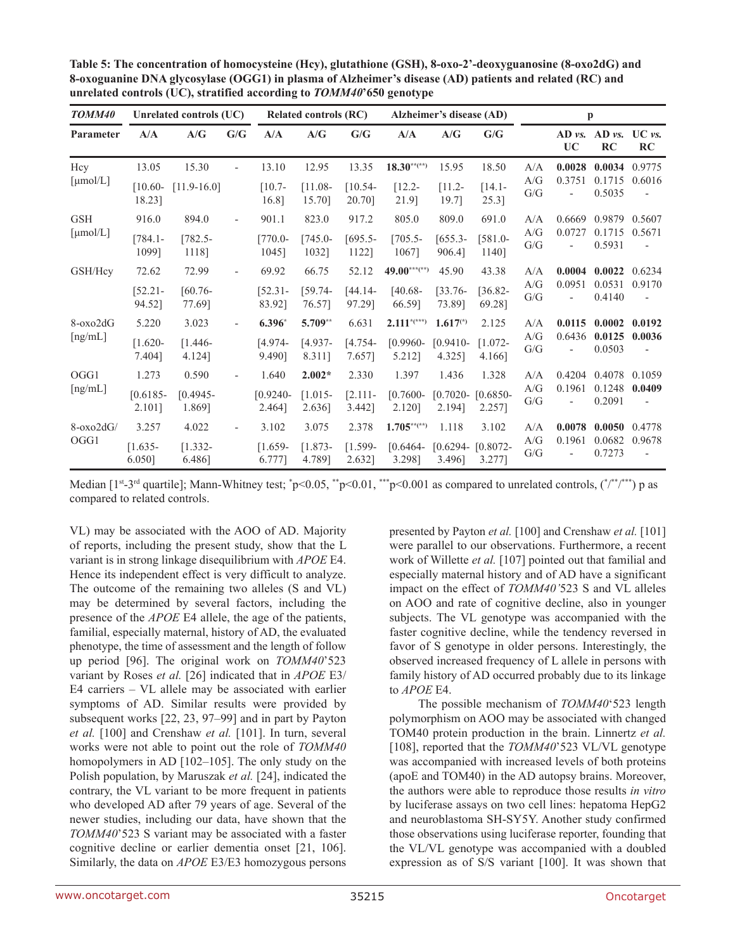| TOMM40                                          | Unrelated controls (UC)<br><b>Related controls (RC)</b><br>Alzheimer's disease (AD) |                               |                          |                                 |                                 | p                            |                                                       |                                        |                                |                   |                                              |                            |                                              |
|-------------------------------------------------|-------------------------------------------------------------------------------------|-------------------------------|--------------------------|---------------------------------|---------------------------------|------------------------------|-------------------------------------------------------|----------------------------------------|--------------------------------|-------------------|----------------------------------------------|----------------------------|----------------------------------------------|
| Parameter                                       | A/A                                                                                 | A/G                           | G/G                      | A/A                             | A/G                             | G/G                          | A/A                                                   | A/G                                    | G/G                            |                   | $AD \, vs.$<br><b>UC</b>                     | $AD$ vs.<br>RC             | $UC$ vs.<br>RC                               |
| Hcy<br>[µmol/L]                                 | 13.05<br>$[10.60-$<br>18.23]                                                        | 15.30<br>$[11.9 - 16.0]$      |                          | 13.10<br>$[10.7-$<br>16.8]      | 12.95<br>$[11.08 -$<br>15.70]   | 13.35<br>$[10.54-$<br>20.70] | $18.30***$<br>$[12.2 -$<br>21.9]                      | 15.95<br>$[11.2 -$<br>19.7]            | 18.50<br>$[14.1 -$<br>$25.3$ ] | A/A<br>A/G<br>G/G | 0.0028<br>0.3751                             | 0.0034<br>0.1715<br>0.5035 | 0.9775<br>0.6016                             |
| <b>GSH</b><br>[µmol/L]                          | 916.0<br>$[784.1 -$<br>10991                                                        | 894.0<br>$[782.5-$<br>1118]   |                          | 901.1<br>$[770.0-$<br>1045]     | 823.0<br>$[745.0 -$<br>10321    | 917.2<br>$[695.5-$<br>1122]  | 805.0<br>$[705.5-$<br>1067]                           | 809.0<br>$[655.3-$<br>906.41           | 691.0<br>$[581.0-$<br>1140]    | A/A<br>A/G<br>G/G | 0.6669<br>0.0727                             | 0.9879<br>0.1715<br>0.5931 | 0.5607<br>0.5671                             |
| GSH/Hcv                                         | 72.62<br>$[52.21 -$<br>94.52]                                                       | 72.99<br>$[60.76-$<br>77.69]  | $\overline{\phantom{0}}$ | 69.92<br>$[52.31 -$<br>83.92]   | 66.75<br>$[59.74-$<br>76.57]    | 52.12<br>$[44.14-$<br>97.29] | $49.00***$ <sup>***(**)</sup><br>$[40.68 -$<br>66.59] | 45.90<br>$133.76 -$<br>73.891          | 43.38<br>$[36.82-$<br>69.28]   | A/A<br>A/G<br>G/G | 0.0004<br>0.0951<br>$\overline{\phantom{a}}$ | 0.0022<br>0.0531<br>0.4140 | 0.6234<br>0.9170<br>$\overline{\phantom{a}}$ |
| $8-\alpha x \cdot 2dG$<br>$\lceil ng/mL \rceil$ | 5.220<br>$[1.620 -$<br>7.404]                                                       | 3.023<br>$[1.446-$<br>4.124]  |                          | $6.396*$<br>$[4.974-$<br>9.490] | 5.709**<br>$[4.937-$<br>8.311]  | 6.631<br>$[4.754-$<br>7.657] | $2.111^{*(***)}$<br>$[0.9960-$<br>5.212]              | $1.617^{(*)}$<br>$[0.9410 -$<br>4.325] | 2.125<br>$[1.072 -$<br>4.166]  | A/A<br>A/G<br>G/G | 0.0115<br>0.6436                             | 0.0002<br>0.0125<br>0.0503 | 0.0192<br>0.0036<br>$\overline{\phantom{a}}$ |
| OGG1<br>[ng/mL]                                 | 1.273<br>$[0.6185 -$<br>2.101]                                                      | 0.590<br>$[0.4945-$<br>1.869] |                          | 1.640<br>$[0.9240 -$<br>2.464]  | $2.002*$<br>$[1.015-$<br>2.636] | 2.330<br>[2.111]<br>3.442]   | 1.397<br>$[0.7600 -$<br>2.120]                        | 1.436<br>$[0.7020 -$<br>2.1941         | 1.328<br>$[0.6850-$<br>2.257]  | A/A<br>A/G<br>G/G | 0.4204<br>0.1961                             | 0.4078<br>0.1248<br>0.2091 | 0.1059<br>0.0409                             |
| $8-\alpha x_02dG$<br>OGG1                       | 3.257<br>$[1.635-$<br>$6.050$ ]                                                     | 4.022<br>$[1.332 -$<br>6.486] | $\overline{\phantom{0}}$ | 3.102<br>$[1.659-$<br>6.777]    | 3.075<br>$[1.873-$<br>4.7891    | 2.378<br>$[1.599-$<br>2.632] | $1.705***$<br>$[0.6464-$<br>3.298]                    | 1.118<br>$[0.6294 -$<br>3.4961         | 3.102<br>$[0.8072 -$<br>3.277] | A/A<br>A/G<br>G/G | 0.0078<br>0.1961                             | 0.0050<br>0.0682<br>0.7273 | 0.4778<br>0.9678                             |

**Table 5: The concentration of homocysteine (Hcy), glutathione (GSH), 8-oxo-2'-deoxyguanosine (8-oxo2dG) and 8-oxoguanine DNA glycosylase (OGG1) in plasma of Alzheimer's disease (AD) patients and related (RC) and unrelated controls (UC), stratified according to** *TOMM40***'650 genotype**

Median  $[1^{st-3^{rd}}$  quartile]; Mann-Whitney test;  $\degree p < 0.05$ ,  $\degree^{*}p < 0.01$ ,  $\degree^{**}p < 0.001$  as compared to unrelated controls,  $(\degree^{**})^{**}$  p as compared to related controls.

VL) may be associated with the AOO of AD. Majority of reports, including the present study, show that the L variant is in strong linkage disequilibrium with *APOE* E4. Hence its independent effect is very difficult to analyze. The outcome of the remaining two alleles (S and VL) may be determined by several factors, including the presence of the *APOE* E4 allele, the age of the patients, familial, especially maternal, history of AD, the evaluated phenotype, the time of assessment and the length of follow up period [96]. The original work on *TOMM40*'523 variant by Roses *et al.* [26] indicated that in *APOE* E3/ E4 carriers – VL allele may be associated with earlier symptoms of AD. Similar results were provided by subsequent works [22, 23, 97–99] and in part by Payton *et al.* [100] and Crenshaw *et al.* [101]. In turn, several works were not able to point out the role of *TOMM40* homopolymers in AD [102–105]. The only study on the Polish population, by Maruszak *et al.* [24], indicated the contrary, the VL variant to be more frequent in patients who developed AD after 79 years of age. Several of the newer studies, including our data, have shown that the *TOMM40*'523 S variant may be associated with a faster cognitive decline or earlier dementia onset [21, 106]. Similarly, the data on *APOE* E3/E3 homozygous persons presented by Payton *et al.* [100] and Crenshaw *et al.* [101] were parallel to our observations. Furthermore, a recent work of Willette *et al.* [107] pointed out that familial and especially maternal history and of AD have a significant impact on the effect of *TOMM40'*523 S and VL alleles on AOO and rate of cognitive decline, also in younger subjects. The VL genotype was accompanied with the faster cognitive decline, while the tendency reversed in favor of S genotype in older persons. Interestingly, the observed increased frequency of L allele in persons with family history of AD occurred probably due to its linkage to *APOE* E4.

The possible mechanism of *TOMM40*'523 length polymorphism on AOO may be associated with changed TOM40 protein production in the brain. Linnertz *et al.* [108], reported that the *TOMM40*'523 VL/VL genotype was accompanied with increased levels of both proteins (apoE and TOM40) in the AD autopsy brains. Moreover, the authors were able to reproduce those results *in vitro* by luciferase assays on two cell lines: hepatoma HepG2 and neuroblastoma SH-SY5Y. Another study confirmed those observations using luciferase reporter, founding that the VL/VL genotype was accompanied with a doubled expression as of S/S variant [100]. It was shown that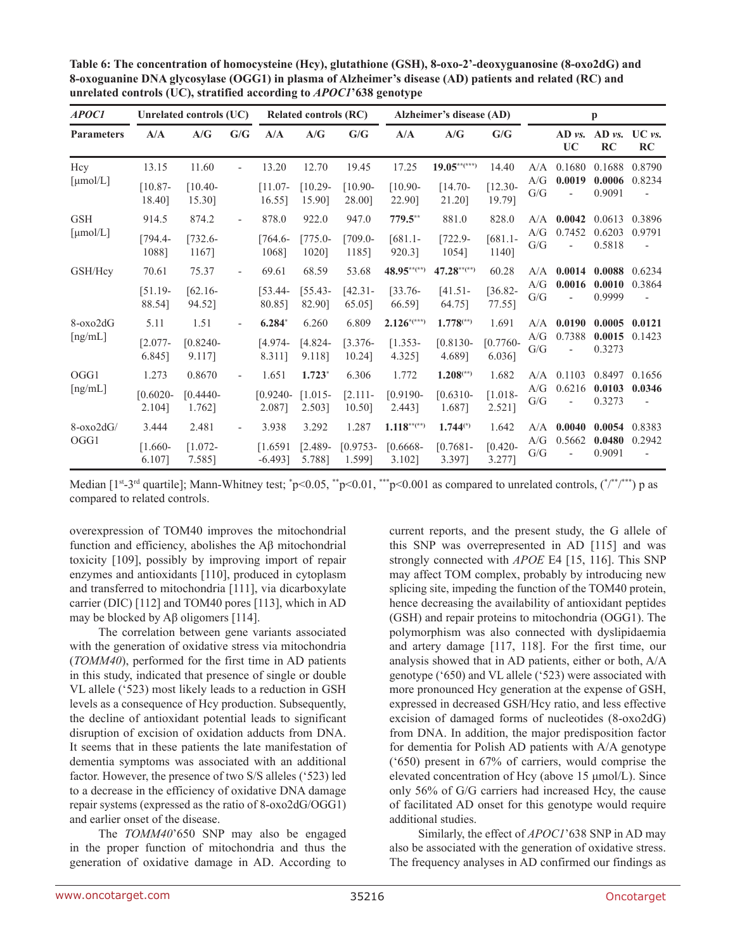| APOC1             |                       | Unrelated controls (UC) |                          |                        | <b>Related controls (RC)</b> |                      | Alzheimer's disease (AD) |                         |                         |            |                                    | $\mathbf{p}$       |                                    |        |
|-------------------|-----------------------|-------------------------|--------------------------|------------------------|------------------------------|----------------------|--------------------------|-------------------------|-------------------------|------------|------------------------------------|--------------------|------------------------------------|--------|
| <b>Parameters</b> | A/A                   | A/G                     | $\mathbf{G}/\mathbf{G}$  | A/A                    | A/G                          | G/G                  | A/A                      | A/G                     | G/G                     |            | $AD \, vs.$<br><b>UC</b>           | $AD \nu s$ .<br>RC | $UC$ vs.<br>RC                     |        |
| Hcy               | 13.15                 | 11.60                   | $\overline{\phantom{a}}$ | 13.20                  | 12.70                        | 19.45                | 17.25                    | $19.05***$              | 14.40                   | A/A        | 0.1680                             | 0.1688             | 0.8790                             |        |
| [µmol/L]          | $[10.87 -$<br>18.40]  | $[10.40-$<br>15.30]     |                          | $[11.07 -$<br>16.55]   | $[10.29 -$<br>15.90]         | $[10.90-$<br>28.00]  | $[10.90-$<br>22.90]      | $[14.70-$<br>21.20]     | $[12.30 -$<br>19.79]    | A/G<br>G/G | 0.0019                             | 0.0006<br>0.9091   | 0.8234<br>$\overline{\phantom{a}}$ |        |
| <b>GSH</b>        | 914.5                 | 874.2                   |                          | 878.0                  | 922.0                        | 947.0                | 779.5**                  | 881.0                   | 828.0                   | A/A        | 0.0042                             | 0.0613             | 0.3896                             |        |
| [µmol/L]          | $[794.4-$<br>10881    | $[732.6 -$<br>1167]     |                          | $[764.6 -$<br>1068]    | $[775.0-$<br>1020]           | $[709.0 -$<br>1185]  | $[681.1 -$<br>920.3]     | $[722.9-$<br>1054]      | $[681.1 -$<br>1140]     | A/G<br>G/G | 0.7452                             | 0.6203<br>0.5818   | 0.9791                             |        |
| GSH/Hcv           | 70.61                 | 75.37                   | $\sim$                   | 69.61                  | 68.59                        | 53.68                | 48.95**(**)              | $47.28***$              | 60.28                   | A/A        |                                    | 0.0014             | 0.0088                             | 0.6234 |
|                   | $[51.19-$<br>88.54]   | $[62.16-$<br>94.52]     |                          | $[53.44-$<br>80.85]    | $[55.43-$<br>82.90]          | $[42.31 -$<br>65.05  | $[33.76-$<br>66.59]      | $[41.51-$<br>64.75]     | $[36.82 -$<br>77.55]    | A/G<br>G/G | 0.0016<br>$\overline{\phantom{a}}$ | 0.0010<br>0.9999   | 0.3864<br>$\overline{\phantom{a}}$ |        |
| $8-\alpha x_02dG$ | 5.11                  | 1.51                    |                          | $6.284*$               | 6.260                        | 6.809                | $2.126$ *(***)           | $1.778$ <sup>(**)</sup> | 1.691                   | A/A        | 0.0190                             | 0.0005             | 0.0121                             |        |
| [ng/mL]           | $[2.077-$<br>6.845]   | $[0.8240 -$<br>9.1171   |                          | $[4.974-$<br>8.311]    | $[4.824-$<br>9.118]          | $[3.376-$<br>10.24]  | $[1.353-$<br>4.325]      | $[0.8130 -$<br>4.689]   | $[0.7760 -$<br>6.036]   | A/G<br>G/G | 0.7388                             | 0.0015<br>0.3273   | 0.1423                             |        |
| OGG1              | 1.273                 | 0.8670                  |                          | 1.651                  | $1.723*$                     | 6.306                | 1.772                    | $1.208$ <sup>(**)</sup> | 1.682                   | A/A        | 0.1103                             | 0.8497             | 0.1656                             |        |
| [ng/mL]           | $[0.6020 -$<br>2.104] | $[0.4440 -$<br>1.762]   |                          | $[0.9240 -$<br>2.087]  | $[1.015-$<br>2.503]          | [2.111]<br>10.50]    | $[0.9190 -$<br>2.443]    | $[0.6310 -$<br>1.687]   | $[1.018 -$<br>$2.521$ ] | A/G<br>G/G | 0.6216                             | 0.0103<br>0.3273   | 0.0346                             |        |
| $8-\alpha x_02dG$ | 3.444                 | 2.481                   | $\sim$                   | 3.938                  | 3.292                        | 1.287                | $1.118***$               | $1.744^{(*)}$           | 1.642                   | A/A        | 0.0040                             | 0.0054             | 0.8383                             |        |
| OGG1              | $[1.660-$<br>6.107]   | $[1.072 -$<br>7.585]    |                          | [1.6591]<br>$-6.493$ ] | $[2.489-$<br>5.788]          | $[0.9753-$<br>1.599] | $[0.6668-$<br>3.102]     | $[0.7681 -$<br>3.397]   | $[0.420 -$<br>3.277]    | A/G<br>G/G | 0.5662                             | 0.0480<br>0.9091   | 0.2942<br>$\overline{\phantom{a}}$ |        |

**Table 6: The concentration of homocysteine (Hcy), glutathione (GSH), 8-oxo-2'-deoxyguanosine (8-oxo2dG) and 8-oxoguanine DNA glycosylase (OGG1) in plasma of Alzheimer's disease (AD) patients and related (RC) and unrelated controls (UC), stratified according to** *APOC1***'638 genotype**

Median  $[1^{st-3^{rd}}$  quartile]; Mann-Whitney test;  $\degree p < 0.05$ ,  $\degree^{*}p < 0.01$ ,  $\degree^{**}p < 0.001$  as compared to unrelated controls,  $(\degree^{**})^{**}$  p as compared to related controls.

overexpression of TOM40 improves the mitochondrial function and efficiency, abolishes the Aβ mitochondrial toxicity [109], possibly by improving import of repair enzymes and antioxidants [110], produced in cytoplasm and transferred to mitochondria [111], via dicarboxylate carrier (DIC) [112] and TOM40 pores [113], which in AD may be blocked by Aβ oligomers [114].

The correlation between gene variants associated with the generation of oxidative stress via mitochondria (*TOMM40*), performed for the first time in AD patients in this study, indicated that presence of single or double VL allele ('523) most likely leads to a reduction in GSH levels as a consequence of Hcy production. Subsequently, the decline of antioxidant potential leads to significant disruption of excision of oxidation adducts from DNA. It seems that in these patients the late manifestation of dementia symptoms was associated with an additional factor. However, the presence of two S/S alleles ('523) led to a decrease in the efficiency of oxidative DNA damage repair systems (expressed as the ratio of 8-oxo2dG/OGG1) and earlier onset of the disease.

The *TOMM40*'650 SNP may also be engaged in the proper function of mitochondria and thus the generation of oxidative damage in AD. According to current reports, and the present study, the G allele of this SNP was overrepresented in AD [115] and was strongly connected with *APOE* E4 [15, 116]. This SNP may affect TOM complex, probably by introducing new splicing site, impeding the function of the TOM40 protein, hence decreasing the availability of antioxidant peptides (GSH) and repair proteins to mitochondria (OGG1). The polymorphism was also connected with dyslipidaemia and artery damage [117, 118]. For the first time, our analysis showed that in AD patients, either or both, A/A genotype ('650) and VL allele ('523) were associated with more pronounced Hcy generation at the expense of GSH, expressed in decreased GSH/Hcy ratio, and less effective excision of damaged forms of nucleotides (8-oxo2dG) from DNA. In addition, the major predisposition factor for dementia for Polish AD patients with A/A genotype ('650) present in 67% of carriers, would comprise the elevated concentration of Hcy (above 15 μmol/L). Since only 56% of G/G carriers had increased Hcy, the cause of facilitated AD onset for this genotype would require additional studies.

Similarly, the effect of *APOC1*'638 SNP in AD may also be associated with the generation of oxidative stress. The frequency analyses in AD confirmed our findings as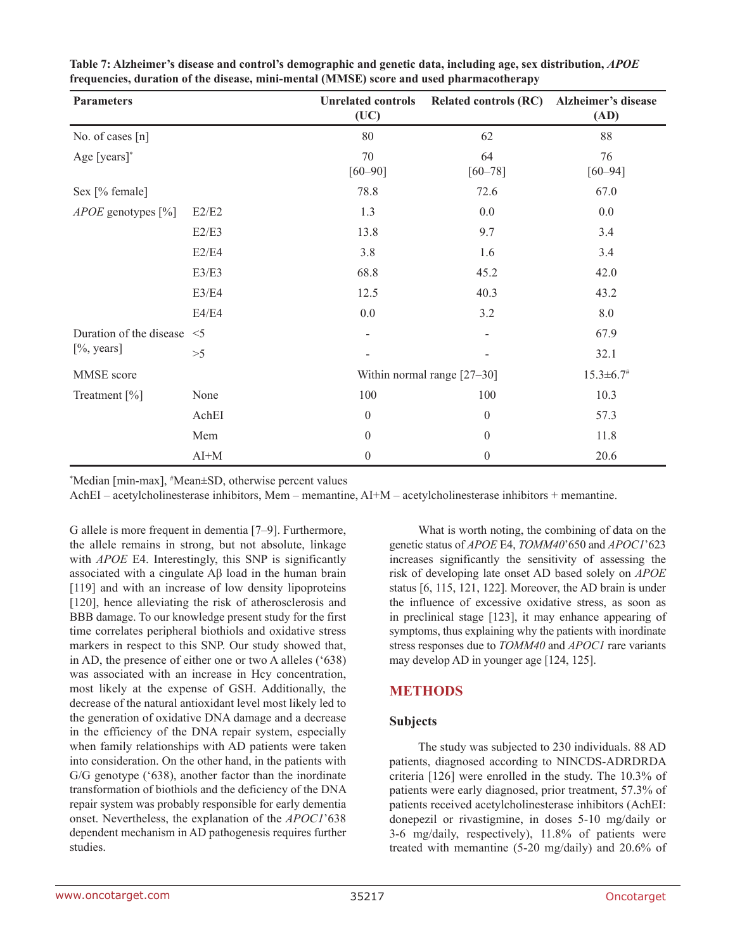| <b>Parameters</b>            |        | <b>Unrelated controls</b><br>(UC) | <b>Related controls (RC)</b> | Alzheimer's disease<br>(AD) |  |  |  |
|------------------------------|--------|-----------------------------------|------------------------------|-----------------------------|--|--|--|
| No. of cases [n]             |        | 80                                | 62                           | 88                          |  |  |  |
| Age [years]*                 |        | 70<br>$[60 - 90]$                 | 64<br>$[60 - 78]$            | 76<br>$[60 - 94]$           |  |  |  |
| Sex [% female]               |        | 78.8                              | 72.6                         | 67.0                        |  |  |  |
| <i>APOE</i> genotypes $[\%]$ | E2/E2  | 1.3                               | 0.0                          | 0.0                         |  |  |  |
|                              | E2/E3  | 13.8                              | 9.7                          | 3.4                         |  |  |  |
|                              | E2/E4  | 3.8                               | 1.6                          | 3.4                         |  |  |  |
|                              | E3/E3  | 68.8                              | 45.2                         | 42.0                        |  |  |  |
|                              | E3/E4  | 12.5                              | 40.3                         | 43.2                        |  |  |  |
|                              | E4/E4  | 0.0                               | 3.2                          | 8.0                         |  |  |  |
| Duration of the disease <5   |        |                                   |                              | 67.9                        |  |  |  |
| [%, years]                   | >5     |                                   |                              | 32.1                        |  |  |  |
| MMSE score                   |        |                                   | Within normal range [27-30]  |                             |  |  |  |
| Treatment [%]                | None   | 100                               | 100                          | 10.3                        |  |  |  |
|                              | AchEI  | $\theta$                          | $\mathbf{0}$                 | 57.3                        |  |  |  |
|                              | Mem    | $\theta$                          | $\boldsymbol{0}$             | 11.8                        |  |  |  |
|                              | $AI+M$ | $\theta$                          | $\mathbf{0}$                 | 20.6                        |  |  |  |

**Table 7: Alzheimer's disease and control's demographic and genetic data, including age, sex distribution,** *APOE* **frequencies, duration of the disease, mini-mental (MMSE) score and used pharmacotherapy**

\*Median [min-max], #Mean±SD, otherwise percent values

AchEI – acetylcholinesterase inhibitors, Mem – memantine, AI+M – acetylcholinesterase inhibitors + memantine.

G allele is more frequent in dementia [7–9]. Furthermore, the allele remains in strong, but not absolute, linkage with *APOE* E4. Interestingly, this SNP is significantly associated with a cingulate Aβ load in the human brain [119] and with an increase of low density lipoproteins [120], hence alleviating the risk of atherosclerosis and BBB damage. To our knowledge present study for the first time correlates peripheral biothiols and oxidative stress markers in respect to this SNP. Our study showed that, in AD, the presence of either one or two A alleles ('638) was associated with an increase in Hcy concentration, most likely at the expense of GSH. Additionally, the decrease of the natural antioxidant level most likely led to the generation of oxidative DNA damage and a decrease in the efficiency of the DNA repair system, especially when family relationships with AD patients were taken into consideration. On the other hand, in the patients with G/G genotype ('638), another factor than the inordinate transformation of biothiols and the deficiency of the DNA repair system was probably responsible for early dementia onset. Nevertheless, the explanation of the *APOC1*'638 dependent mechanism in AD pathogenesis requires further studies.

What is worth noting, the combining of data on the genetic status of *APOE* E4, *TOMM40*'650 and *APOC1*'623 increases significantly the sensitivity of assessing the risk of developing late onset AD based solely on *APOE* status [6, 115, 121, 122]. Moreover, the AD brain is under the influence of excessive oxidative stress, as soon as in preclinical stage [123], it may enhance appearing of symptoms, thus explaining why the patients with inordinate stress responses due to *TOMM40* and *APOC1* rare variants may develop AD in younger age [124, 125].

# **METHODS**

#### **Subjects**

The study was subjected to 230 individuals. 88 AD patients, diagnosed according to NINCDS-ADRDRDA criteria [126] were enrolled in the study. The 10.3% of patients were early diagnosed, prior treatment, 57.3% of patients received acetylcholinesterase inhibitors (AchEI: donepezil or rivastigmine, in doses 5-10 mg/daily or 3-6 mg/daily, respectively), 11.8% of patients were treated with memantine (5-20 mg/daily) and 20.6% of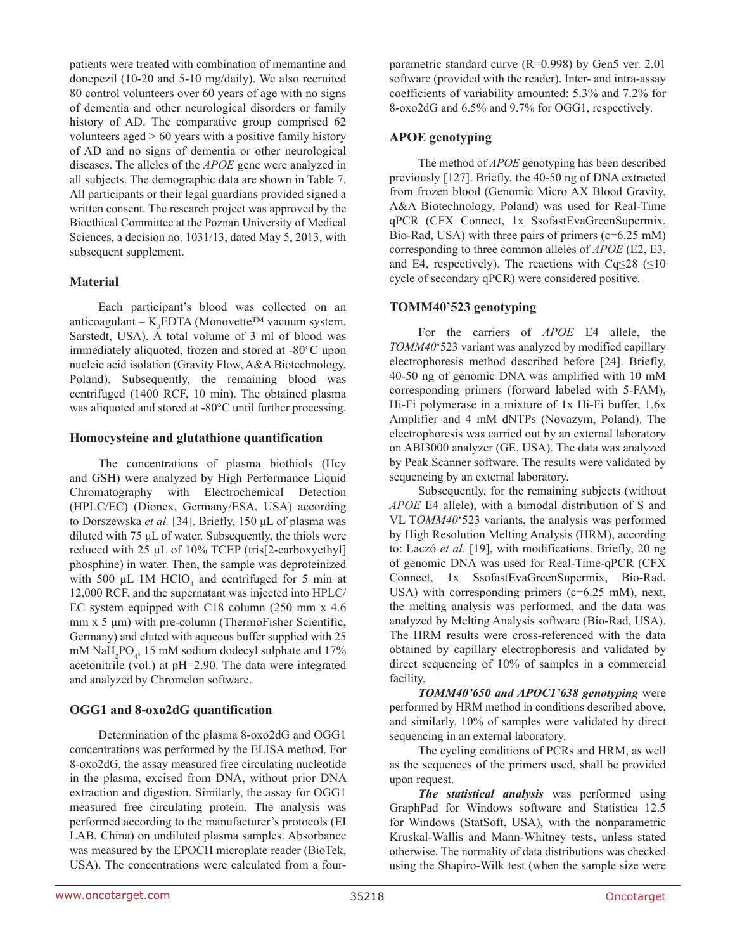patients were treated with combination of memantine and donepezil (10-20 and 5-10 mg/daily). We also recruited 80 control volunteers over 60 years of age with no signs of dementia and other neurological disorders or family history of AD. The comparative group comprised 62 volunteers aged > 60 years with a positive family history of AD and no signs of dementia or other neurological diseases. The alleles of the *APOE* gene were analyzed in all subjects. The demographic data are shown in Table 7. All participants or their legal guardians provided signed a written consent. The research project was approved by the Bioethical Committee at the Poznan University of Medical Sciences, a decision no. 1031/13, dated May 5, 2013, with subsequent supplement.

## **Material**

Each participant's blood was collected on an anticoagulant – K<sub>3</sub>EDTA (Monovette™ vacuum system, Sarstedt, USA). A total volume of 3 ml of blood was immediately aliquoted, frozen and stored at -80°C upon nucleic acid isolation (Gravity Flow, A&A Biotechnology, Poland). Subsequently, the remaining blood was centrifuged (1400 RCF, 10 min). The obtained plasma was aliquoted and stored at -80°C until further processing.

#### **Homocysteine and glutathione quantification**

The concentrations of plasma biothiols (Hcy and GSH) were analyzed by High Performance Liquid Chromatography with Electrochemical Detection (HPLC/EC) (Dionex, Germany/ESA, USA) according to Dorszewska *et al.* [34]. Briefly, 150 μL of plasma was diluted with 75 μL of water. Subsequently, the thiols were reduced with 25 μL of 10% TCEP (tris[2-carboxyethyl] phosphine) in water. Then, the sample was deproteinized with 500  $\mu$ L 1M HClO<sub>4</sub> and centrifuged for 5 min at 12,000 RCF, and the supernatant was injected into HPLC/ EC system equipped with C18 column (250 mm x 4.6 mm x 5 μm) with pre-column (ThermoFisher Scientific, Germany) and eluted with aqueous buffer supplied with 25 mM  $\text{NaH}_2\text{PO}_4$ , 15 mM sodium dodecyl sulphate and 17% acetonitrile (vol.) at pH=2.90. The data were integrated and analyzed by Chromelon software.

#### **OGG1 and 8-oxo2dG quantification**

Determination of the plasma 8-oxo2dG and OGG1 concentrations was performed by the ELISA method. For 8-oxo2dG, the assay measured free circulating nucleotide in the plasma, excised from DNA, without prior DNA extraction and digestion. Similarly, the assay for OGG1 measured free circulating protein. The analysis was performed according to the manufacturer's protocols (EI LAB, China) on undiluted plasma samples. Absorbance was measured by the EPOCH microplate reader (BioTek, USA). The concentrations were calculated from a fourparametric standard curve (R=0.998) by Gen5 ver. 2.01 software (provided with the reader). Inter- and intra-assay coefficients of variability amounted: 5.3% and 7.2% for 8-oxo2dG and 6.5% and 9.7% for OGG1, respectively.

## **APOE genotyping**

The method of *APOE* genotyping has been described previously [127]. Briefly, the 40-50 ng of DNA extracted from frozen blood (Genomic Micro AX Blood Gravity, A&A Biotechnology, Poland) was used for Real-Time qPCR (CFX Connect, 1x SsofastEvaGreenSupermix, Bio-Rad, USA) with three pairs of primers (c=6.25 mM) corresponding to three common alleles of *APOE* (E2, E3, and E4, respectively). The reactions with Cq $\leq$ 28 ( $\leq$ 10 cycle of secondary qPCR) were considered positive.

## **TOMM40'523 genotyping**

For the carriers of *APOE* E4 allele, the *TOMM40*'523 variant was analyzed by modified capillary electrophoresis method described before [24]. Briefly, 40-50 ng of genomic DNA was amplified with 10 mM corresponding primers (forward labeled with 5-FAM), Hi-Fi polymerase in a mixture of 1x Hi-Fi buffer, 1.6x Amplifier and 4 mM dNTPs (Novazym, Poland). The electrophoresis was carried out by an external laboratory on ABI3000 analyzer (GE, USA). The data was analyzed by Peak Scanner software. The results were validated by sequencing by an external laboratory.

Subsequently, for the remaining subjects (without *APOE* E4 allele), with a bimodal distribution of S and VL T*OMM40*'523 variants, the analysis was performed by High Resolution Melting Analysis (HRM), according to: Laczó *et al.* [19], with modifications. Briefly, 20 ng of genomic DNA was used for Real-Time-qPCR (CFX Connect, 1x SsofastEvaGreenSupermix, Bio-Rad, USA) with corresponding primers (c=6.25 mM), next, the melting analysis was performed, and the data was analyzed by Melting Analysis software (Bio-Rad, USA). The HRM results were cross-referenced with the data obtained by capillary electrophoresis and validated by direct sequencing of 10% of samples in a commercial facility.

*TOMM40'650 and APOC1'638 genotyping* were performed by HRM method in conditions described above, and similarly, 10% of samples were validated by direct sequencing in an external laboratory.

The cycling conditions of PCRs and HRM, as well as the sequences of the primers used, shall be provided upon request.

*The statistical analysis* was performed using GraphPad for Windows software and Statistica 12.5 for Windows (StatSoft, USA), with the nonparametric Kruskal-Wallis and Mann-Whitney tests, unless stated otherwise. The normality of data distributions was checked using the Shapiro-Wilk test (when the sample size were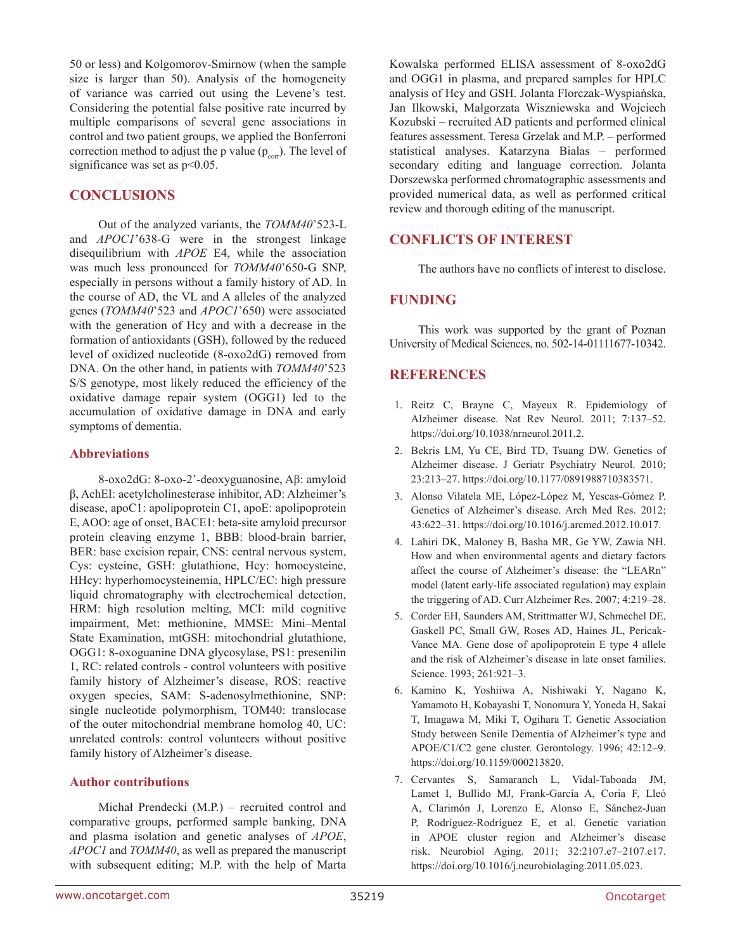50 or less) and Kolgomorov-Smirnow (when the sample size is larger than 50). Analysis of the homogeneity of variance was carried out using the Levene's test. Considering the potential false positive rate incurred by multiple comparisons of several gene associations in control and two patient groups, we applied the Bonferroni correction method to adjust the p value  $(p_{\text{corr}})$ . The level of significance was set as  $p<0.05$ .

## **CONCLUSIONS**

Out of the analyzed variants, the *TOMM40*'523-L and *APOC1*'638-G were in the strongest linkage disequilibrium with *APOE* E4, while the association was much less pronounced for *TOMM40*'650-G SNP, especially in persons without a family history of AD. In the course of AD, the VL and A alleles of the analyzed genes (*TOMM40*'523 and *APOC1*'650) were associated with the generation of Hcy and with a decrease in the formation of antioxidants (GSH), followed by the reduced level of oxidized nucleotide (8-oxo2dG) removed from DNA. On the other hand, in patients with *TOMM40*'523 S/S genotype, most likely reduced the efficiency of the oxidative damage repair system (OGG1) led to the accumulation of oxidative damage in DNA and early symptoms of dementia.

#### **Abbreviations**

8-oxo2dG: 8-oxo-2'-deoxyguanosine, Aβ: amyloid β, AchEI: acetylcholinesterase inhibitor, AD: Alzheimer's disease, apoC1: apolipoprotein C1, apoE: apolipoprotein E, AOO: age of onset, BACE1: beta-site amyloid precursor protein cleaving enzyme 1, BBB: blood-brain barrier, BER: base excision repair, CNS: central nervous system, Cys: cysteine, GSH: glutathione, Hcy: homocysteine, HHcy: hyperhomocysteinemia, HPLC/EC: high pressure liquid chromatography with electrochemical detection, HRM: high resolution melting, MCI: mild cognitive impairment, Met: methionine, MMSE: Mini–Mental State Examination, mtGSH: mitochondrial glutathione, OGG1: 8-oxoguanine DNA glycosylase, PS1: presenilin 1, RC: related controls - control volunteers with positive family history of Alzheimer's disease, ROS: reactive oxygen species, SAM: S-adenosylmethionine, SNP: single nucleotide polymorphism, TOM40: translocase of the outer mitochondrial membrane homolog 40, UC: unrelated controls: control volunteers without positive family history of Alzheimer's disease.

#### **Author contributions**

Michał Prendecki (M.P.) – recruited control and comparative groups, performed sample banking, DNA and plasma isolation and genetic analyses of *APOE*, *APOC1* and *TOMM40*, as well as prepared the manuscript with subsequent editing; M.P. with the help of Marta Kowalska performed ELISA assessment of 8-oxo2dG and OGG1 in plasma, and prepared samples for HPLC analysis of Hcy and GSH. Jolanta Florczak-Wyspiańska, Jan Ilkowski, Małgorzata Wiszniewska and Wojciech Kozubski – recruited AD patients and performed clinical features assessment. Teresa Grzelak and M.P. – performed statistical analyses. Katarzyna Bialas – performed secondary editing and language correction. Jolanta Dorszewska performed chromatographic assessments and provided numerical data, as well as performed critical review and thorough editing of the manuscript.

## **CONFLICTS OF INTEREST**

The authors have no conflicts of interest to disclose.

## **FUNDING**

This work was supported by the grant of Poznan University of Medical Sciences, no. 502-14-01111677-10342.

# **REFERENCES**

- 1. Reitz C, Brayne C, Mayeux R. Epidemiology of Alzheimer disease. Nat Rev Neurol. 2011; 7:137–52. <https://doi.org/10.1038/nrneurol.2011.2>.
- 2. Bekris LM, Yu CE, Bird TD, Tsuang DW. Genetics of Alzheimer disease. J Geriatr Psychiatry Neurol. 2010; 23:213–27. <https://doi.org/10.1177/0891988710383571>.
- 3. Alonso Vilatela ME, López-López M, Yescas-Gómez P. Genetics of Alzheimer's disease. Arch Med Res. 2012; 43:622–31. [https://doi.org/10.1016/j.arcmed.2012.10.017.](https://doi.org/10.1016/j.arcmed.2012.10.017)
- 4. Lahiri DK, Maloney B, Basha MR, Ge YW, Zawia NH. How and when environmental agents and dietary factors affect the course of Alzheimer's disease: the "LEARn" model (latent early-life associated regulation) may explain the triggering of AD. Curr Alzheimer Res. 2007; 4:219–28.
- 5. Corder EH, Saunders AM, Strittmatter WJ, Schmechel DE, Gaskell PC, Small GW, Roses AD, Haines JL, Pericak-Vance MA. Gene dose of apolipoprotein E type 4 allele and the risk of Alzheimer's disease in late onset families. Science. 1993; 261:921–3.
- 6. Kamino K, Yoshiiwa A, Nishiwaki Y, Nagano K, Yamamoto H, Kobayashi T, Nonomura Y, Yoneda H, Sakai T, Imagawa M, Miki T, Ogihara T. Genetic Association Study between Senile Dementia of Alzheimer's type and APOE/C1/C2 gene cluster. Gerontology. 1996; 42:12–9. [https://doi.org/10.1159/000213820.](https://doi.org/10.1159/000213820)
- 7. Cervantes S, Samaranch L, Vidal-Taboada JM, Lamet I, Bullido MJ, Frank-García A, Coria F, Lleó A, Clarimón J, Lorenzo E, Alonso E, Sánchez-Juan P, Rodríguez-Rodríguez E, et al. Genetic variation in APOE cluster region and Alzheimer's disease risk. Neurobiol Aging. 2011; 32:2107.e7–2107.e17. <https://doi.org/10.1016/j.neurobiolaging.2011.05.023>.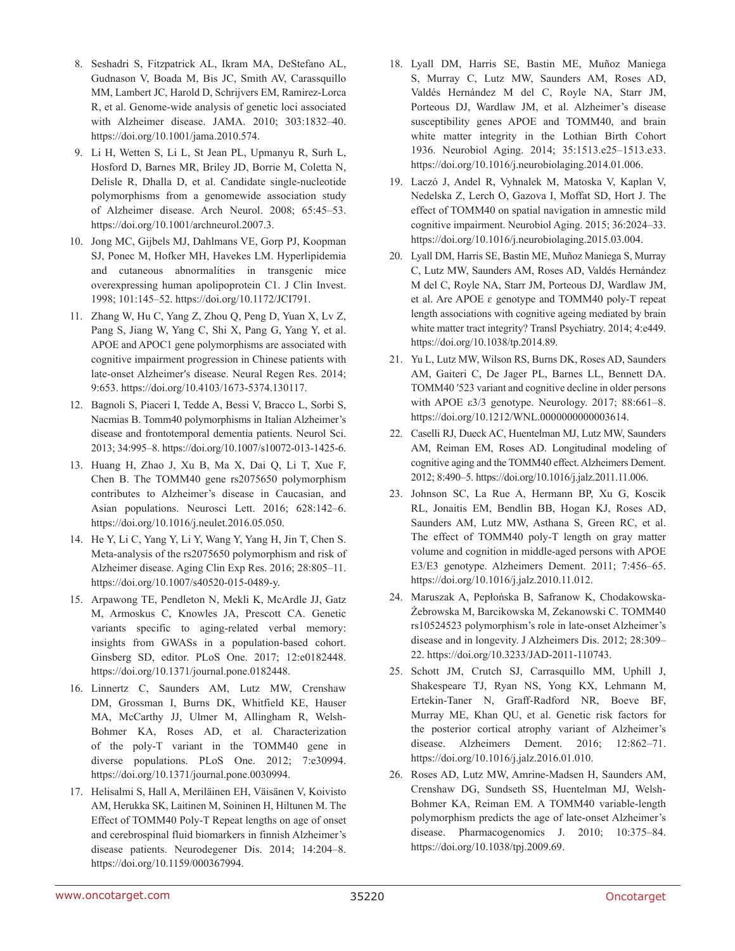- 8. Seshadri S, Fitzpatrick AL, Ikram MA, DeStefano AL, Gudnason V, Boada M, Bis JC, Smith AV, Carassquillo MM, Lambert JC, Harold D, Schrijvers EM, Ramirez-Lorca R, et al. Genome-wide analysis of genetic loci associated with Alzheimer disease. JAMA. 2010; 303:1832–40. <https://doi.org/10.1001/jama.2010.574>.
- 9. Li H, Wetten S, Li L, St Jean PL, Upmanyu R, Surh L, Hosford D, Barnes MR, Briley JD, Borrie M, Coletta N, Delisle R, Dhalla D, et al. Candidate single-nucleotide polymorphisms from a genomewide association study of Alzheimer disease. Arch Neurol. 2008; 65:45–53. <https://doi.org/10.1001/archneurol.2007.3>.
- 10. Jong MC, Gijbels MJ, Dahlmans VE, Gorp PJ, Koopman SJ, Ponec M, Hofker MH, Havekes LM. Hyperlipidemia and cutaneous abnormalities in transgenic mice overexpressing human apolipoprotein C1. J Clin Invest. 1998; 101:145–52. [https://doi.org/10.1172/JCI791.](https://doi.org/10.1172/JCI791)
- 11. Zhang W, Hu C, Yang Z, Zhou Q, Peng D, Yuan X, Lv Z, Pang S, Jiang W, Yang C, Shi X, Pang G, Yang Y, et al. APOE and APOC1 gene polymorphisms are associated with cognitive impairment progression in Chinese patients with late-onset Alzheimer′s disease. Neural Regen Res. 2014; 9:653. [https://doi.org/10.4103/1673-5374.130117.](https://doi.org/10.4103/1673-5374.130117)
- 12. Bagnoli S, Piaceri I, Tedde A, Bessi V, Bracco L, Sorbi S, Nacmias B. Tomm40 polymorphisms in Italian Alzheimer's disease and frontotemporal dementia patients. Neurol Sci. 2013; 34:995–8.<https://doi.org/10.1007/s10072-013-1425-6>.
- 13. Huang H, Zhao J, Xu B, Ma X, Dai Q, Li T, Xue F, Chen B. The TOMM40 gene rs2075650 polymorphism contributes to Alzheimer's disease in Caucasian, and Asian populations. Neurosci Lett. 2016; 628:142–6. [https://doi.org/10.1016/j.neulet.2016.05.050.](https://doi.org/10.1016/j.neulet.2016.05.050)
- 14. He Y, Li C, Yang Y, Li Y, Wang Y, Yang H, Jin T, Chen S. Meta-analysis of the rs2075650 polymorphism and risk of Alzheimer disease. Aging Clin Exp Res. 2016; 28:805–11. <https://doi.org/10.1007/s40520-015-0489-y>.
- 15. Arpawong TE, Pendleton N, Mekli K, McArdle JJ, Gatz M, Armoskus C, Knowles JA, Prescott CA. Genetic variants specific to aging-related verbal memory: insights from GWASs in a population-based cohort. Ginsberg SD, editor. PLoS One. 2017; 12:e0182448. [https://doi.org/10.1371/journal.pone.0182448.](https://doi.org/10.1371/journal.pone.0182448)
- 16. Linnertz C, Saunders AM, Lutz MW, Crenshaw DM, Grossman I, Burns DK, Whitfield KE, Hauser MA, McCarthy JJ, Ulmer M, Allingham R, Welsh-Bohmer KA, Roses AD, et al. Characterization of the poly-T variant in the TOMM40 gene in diverse populations. PLoS One. 2012; 7:e30994. [https://doi.org/10.1371/journal.pone.0030994.](https://doi.org/10.1371/journal.pone.0030994)
- 17. Helisalmi S, Hall A, Meriläinen EH, Väisänen V, Koivisto AM, Herukka SK, Laitinen M, Soininen H, Hiltunen M. The Effect of TOMM40 Poly-T Repeat lengths on age of onset and cerebrospinal fluid biomarkers in finnish Alzheimer's disease patients. Neurodegener Dis. 2014; 14:204–8. <https://doi.org/10.1159/000367994>.
- 18. Lyall DM, Harris SE, Bastin ME, Muñoz Maniega S, Murray C, Lutz MW, Saunders AM, Roses AD, Valdés Hernández M del C, Royle NA, Starr JM, Porteous DJ, Wardlaw JM, et al. Alzheimer's disease susceptibility genes APOE and TOMM40, and brain white matter integrity in the Lothian Birth Cohort 1936. Neurobiol Aging. 2014; 35:1513.e25–1513.e33. [https://doi.org/10.1016/j.neurobiolaging.2014.01.006.](https://doi.org/10.1016/j.neurobiolaging.2014.01.006)
- 19. Laczó J, Andel R, Vyhnalek M, Matoska V, Kaplan V, Nedelska Z, Lerch O, Gazova I, Moffat SD, Hort J. The effect of TOMM40 on spatial navigation in amnestic mild cognitive impairment. Neurobiol Aging. 2015; 36:2024–33. [https://doi.org/10.1016/j.neurobiolaging.2015.03.004.](https://doi.org/10.1016/j.neurobiolaging.2015.03.004)
- 20. Lyall DM, Harris SE, Bastin ME, Muñoz Maniega S, Murray C, Lutz MW, Saunders AM, Roses AD, Valdés Hernández M del C, Royle NA, Starr JM, Porteous DJ, Wardlaw JM, et al. Are APOE  $\varepsilon$  genotype and TOMM40 poly-T repeat length associations with cognitive ageing mediated by brain white matter tract integrity? Transl Psychiatry. 2014; 4:e449. [https://doi.org/10.1038/tp.2014.89.](https://doi.org/10.1038/tp.2014.89)
- 21. Yu L, Lutz MW, Wilson RS, Burns DK, Roses AD, Saunders AM, Gaiteri C, De Jager PL, Barnes LL, Bennett DA. TOMM40 ′523 variant and cognitive decline in older persons with APOE  $\epsilon$ 3/3 genotype. Neurology. 2017; 88:661–8. <https://doi.org/10.1212/WNL.0000000000003614>.
- 22. Caselli RJ, Dueck AC, Huentelman MJ, Lutz MW, Saunders AM, Reiman EM, Roses AD. Longitudinal modeling of cognitive aging and the TOMM40 effect. Alzheimers Dement. 2012; 8:490–5. <https://doi.org/10.1016/j.jalz.2011.11.006>.
- 23. Johnson SC, La Rue A, Hermann BP, Xu G, Koscik RL, Jonaitis EM, Bendlin BB, Hogan KJ, Roses AD, Saunders AM, Lutz MW, Asthana S, Green RC, et al. The effect of TOMM40 poly-T length on gray matter volume and cognition in middle-aged persons with APOE E3/E3 genotype. Alzheimers Dement. 2011; 7:456–65. [https://doi.org/10.1016/j.jalz.2010.11.012.](https://doi.org/10.1016/j.jalz.2010.11.012)
- 24. Maruszak A, Pepłońska B, Safranow K, Chodakowska-Żebrowska M, Barcikowska M, Zekanowski C. TOMM40 rs10524523 polymorphism's role in late-onset Alzheimer's disease and in longevity. J Alzheimers Dis. 2012; 28:309– 22. [https://doi.org/10.3233/JAD-2011-110743.](https://doi.org/10.3233/JAD-2011-110743)
- 25. Schott JM, Crutch SJ, Carrasquillo MM, Uphill J, Shakespeare TJ, Ryan NS, Yong KX, Lehmann M, Ertekin-Taner N, Graff-Radford NR, Boeve BF, Murray ME, Khan QU, et al. Genetic risk factors for the posterior cortical atrophy variant of Alzheimer's disease. Alzheimers Dement. 2016; 12:862–71. <https://doi.org/10.1016/j.jalz.2016.01.010>.
- 26. Roses AD, Lutz MW, Amrine-Madsen H, Saunders AM, Crenshaw DG, Sundseth SS, Huentelman MJ, Welsh-Bohmer KA, Reiman EM. A TOMM40 variable-length polymorphism predicts the age of late-onset Alzheimer's disease. Pharmacogenomics J. 2010; 10:375–84. <https://doi.org/10.1038/tpj.2009.69>.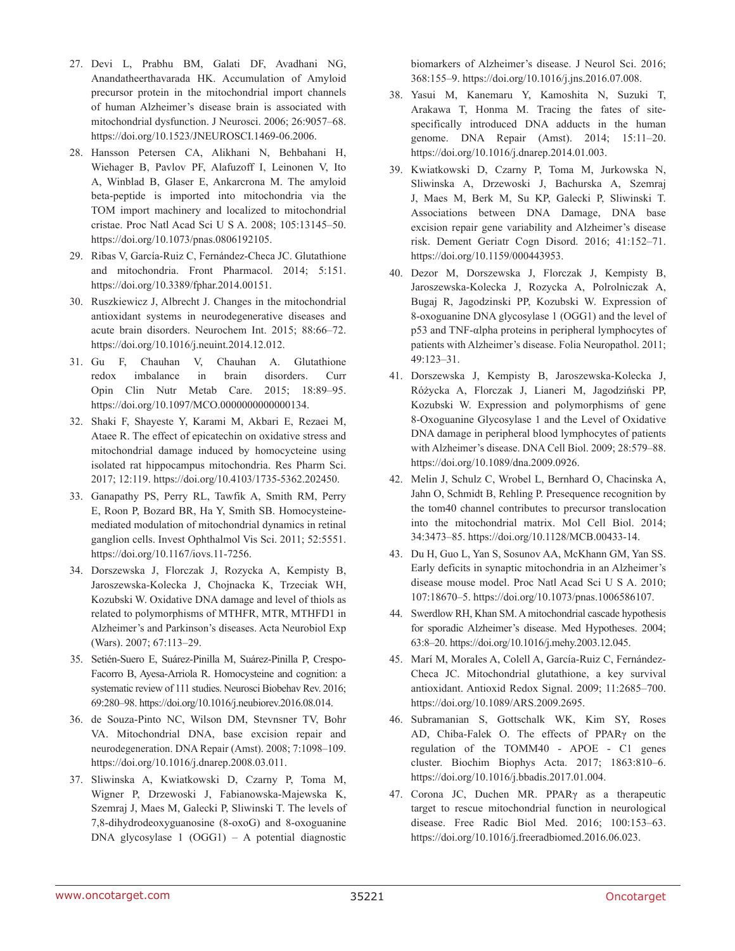- 27. Devi L, Prabhu BM, Galati DF, Avadhani NG, Anandatheerthavarada HK. Accumulation of Amyloid precursor protein in the mitochondrial import channels of human Alzheimer's disease brain is associated with mitochondrial dysfunction. J Neurosci. 2006; 26:9057–68. [https://doi.org/10.1523/JNEUROSCI.1469-06.2006.](https://doi.org/10.1523/JNEUROSCI.1469-06.2006)
- 28. Hansson Petersen CA, Alikhani N, Behbahani H, Wiehager B, Pavlov PF, Alafuzoff I, Leinonen V, Ito A, Winblad B, Glaser E, Ankarcrona M. The amyloid beta-peptide is imported into mitochondria via the TOM import machinery and localized to mitochondrial cristae. Proc Natl Acad Sci U S A. 2008; 105:13145–50. [https://doi.org/10.1073/pnas.0806192105.](https://doi.org/10.1073/pnas.0806192105)
- 29. Ribas V, García-Ruiz C, Fernández-Checa JC. Glutathione and mitochondria. Front Pharmacol. 2014; 5:151. <https://doi.org/10.3389/fphar.2014.00151>.
- 30. Ruszkiewicz J, Albrecht J. Changes in the mitochondrial antioxidant systems in neurodegenerative diseases and acute brain disorders. Neurochem Int. 2015; 88:66–72. <https://doi.org/10.1016/j.neuint.2014.12.012>.
- 31. Gu F, Chauhan V, Chauhan A. Glutathione redox imbalance in brain disorders. Curr Opin Clin Nutr Metab Care. 2015; 18:89–95. [https://doi.org/10.1097/MCO.0000000000000134.](https://doi.org/10.1097/MCO.0000000000000134)
- 32. Shaki F, Shayeste Y, Karami M, Akbari E, Rezaei M, Ataee R. The effect of epicatechin on oxidative stress and mitochondrial damage induced by homocycteine using isolated rat hippocampus mitochondria. Res Pharm Sci. 2017; 12:119. <https://doi.org/10.4103/1735-5362.202450>.
- 33. Ganapathy PS, Perry RL, Tawfik A, Smith RM, Perry E, Roon P, Bozard BR, Ha Y, Smith SB. Homocysteinemediated modulation of mitochondrial dynamics in retinal ganglion cells. Invest Ophthalmol Vis Sci. 2011; 52:5551. <https://doi.org/10.1167/iovs.11-7256>.
- 34. Dorszewska J, Florczak J, Rozycka A, Kempisty B, Jaroszewska-Kolecka J, Chojnacka K, Trzeciak WH, Kozubski W. Oxidative DNA damage and level of thiols as related to polymorphisms of MTHFR, MTR, MTHFD1 in Alzheimer's and Parkinson's diseases. Acta Neurobiol Exp (Wars). 2007; 67:113–29.
- 35. Setién-Suero E, Suárez-Pinilla M, Suárez-Pinilla P, Crespo-Facorro B, Ayesa-Arriola R. Homocysteine and cognition: a systematic review of 111 studies. Neurosci Biobehav Rev. 2016; 69:280–98. [https://doi.org/10.1016/j.neubiorev.2016.08.014.](https://doi.org/10.1016/j.neubiorev.2016.08.014)
- 36. de Souza-Pinto NC, Wilson DM, Stevnsner TV, Bohr VA. Mitochondrial DNA, base excision repair and neurodegeneration. DNA Repair (Amst). 2008; 7:1098–109. [https://doi.org/10.1016/j.dnarep.2008.03.011.](https://doi.org/10.1016/j.dnarep.2008.03.011)
- 37. Sliwinska A, Kwiatkowski D, Czarny P, Toma M, Wigner P, Drzewoski J, Fabianowska-Majewska K, Szemraj J, Maes M, Galecki P, Sliwinski T. The levels of 7,8-dihydrodeoxyguanosine (8-oxoG) and 8-oxoguanine DNA glycosylase 1 (OGG1) – A potential diagnostic

biomarkers of Alzheimer's disease. J Neurol Sci. 2016; 368:155–9. [https://doi.org/10.1016/j.jns.2016.07.008.](https://doi.org/10.1016/j.jns.2016.07.008)

- 38. Yasui M, Kanemaru Y, Kamoshita N, Suzuki T, Arakawa T, Honma M. Tracing the fates of sitespecifically introduced DNA adducts in the human genome. DNA Repair (Amst). 2014; 15:11–20. [https://doi.org/10.1016/j.dnarep.2014.01.003.](https://doi.org/10.1016/j.dnarep.2014.01.003)
- 39. Kwiatkowski D, Czarny P, Toma M, Jurkowska N, Sliwinska A, Drzewoski J, Bachurska A, Szemraj J, Maes M, Berk M, Su KP, Galecki P, Sliwinski T. Associations between DNA Damage, DNA base excision repair gene variability and Alzheimer's disease risk. Dement Geriatr Cogn Disord. 2016; 41:152–71. [https://doi.org/10.1159/000443953.](https://doi.org/10.1159/000443953)
- 40. Dezor M, Dorszewska J, Florczak J, Kempisty B, Jaroszewska-Kolecka J, Rozycka A, Polrolniczak A, Bugaj R, Jagodzinski PP, Kozubski W. Expression of 8-oxoguanine DNA glycosylase 1 (OGG1) and the level of p53 and TNF-αlpha proteins in peripheral lymphocytes of patients with Alzheimer's disease. Folia Neuropathol. 2011; 49:123–31.
- 41. Dorszewska J, Kempisty B, Jaroszewska-Kolecka J, Różycka A, Florczak J, Lianeri M, Jagodziński PP, Kozubski W. Expression and polymorphisms of gene 8-Oxoguanine Glycosylase 1 and the Level of Oxidative DNA damage in peripheral blood lymphocytes of patients with Alzheimer's disease. DNA Cell Biol. 2009; 28:579–88. [https://doi.org/10.1089/dna.2009.0926.](https://doi.org/10.1089/dna.2009.0926)
- 42. Melin J, Schulz C, Wrobel L, Bernhard O, Chacinska A, Jahn O, Schmidt B, Rehling P. Presequence recognition by the tom40 channel contributes to precursor translocation into the mitochondrial matrix. Mol Cell Biol. 2014; 34:3473–85.<https://doi.org/10.1128/MCB.00433-14>.
- 43. Du H, Guo L, Yan S, Sosunov AA, McKhann GM, Yan SS. Early deficits in synaptic mitochondria in an Alzheimer's disease mouse model. Proc Natl Acad Sci U S A. 2010; 107:18670–5.<https://doi.org/10.1073/pnas.1006586107>.
- 44. Swerdlow RH, Khan SM. A mitochondrial cascade hypothesis for sporadic Alzheimer's disease. Med Hypotheses. 2004; 63:8–20. [https://doi.org/10.1016/j.mehy.2003.12.045.](https://doi.org/10.1016/j.mehy.2003.12.045)
- 45. Marí M, Morales A, Colell A, García-Ruiz C, Fernández-Checa JC. Mitochondrial glutathione, a key survival antioxidant. Antioxid Redox Signal. 2009; 11:2685–700. <https://doi.org/10.1089/ARS.2009.2695>.
- 46. Subramanian S, Gottschalk WK, Kim SY, Roses AD, Chiba-Falek O. The effects of PPARγ on the regulation of the TOMM40 - APOE - C1 genes cluster. Biochim Biophys Acta. 2017; 1863:810–6. [https://doi.org/10.1016/j.bbadis.2017.01.004.](https://doi.org/10.1016/j.bbadis.2017.01.004)
- 47. Corona JC, Duchen MR. PPARγ as a therapeutic target to rescue mitochondrial function in neurological disease. Free Radic Biol Med. 2016; 100:153–63. [https://doi.org/10.1016/j.freeradbiomed.2016.06.023.](https://doi.org/10.1016/j.freeradbiomed.2016.06.023)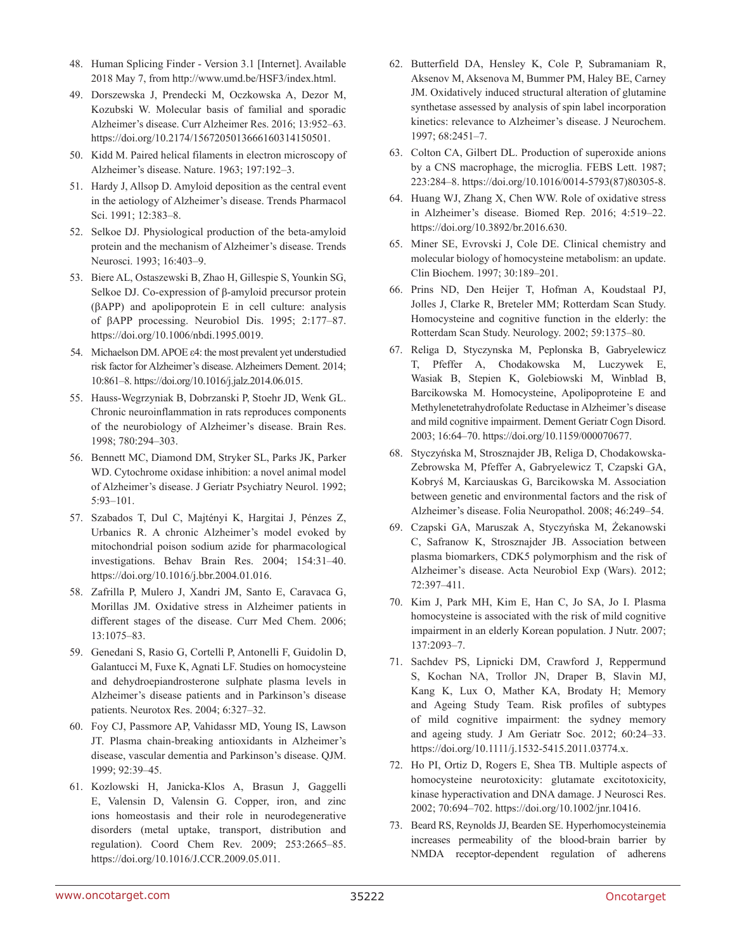- 48. Human Splicing Finder Version 3.1 [Internet]. Available 2018 May 7, from [http://www.umd.be/HSF3/index.html.](http://www.umd.be/HSF3/index.html)
- 49. Dorszewska J, Prendecki M, Oczkowska A, Dezor M, Kozubski W. Molecular basis of familial and sporadic Alzheimer's disease. Curr Alzheimer Res. 2016; 13:952–63. <https://doi.org/10.2174/1567205013666160314150501>.
- 50. Kidd M. Paired helical filaments in electron microscopy of Alzheimer's disease. Nature. 1963; 197:192–3.
- 51. Hardy J, Allsop D. Amyloid deposition as the central event in the aetiology of Alzheimer's disease. Trends Pharmacol Sci. 1991; 12:383–8.
- 52. Selkoe DJ. Physiological production of the beta-amyloid protein and the mechanism of Alzheimer's disease. Trends Neurosci. 1993; 16:403–9.
- 53. Biere AL, Ostaszewski B, Zhao H, Gillespie S, Younkin SG, Selkoe DJ. Co-expression of β-amyloid precursor protein (βAPP) and apolipoprotein E in cell culture: analysis of βAPP processing. Neurobiol Dis. 1995; 2:177–87. <https://doi.org/10.1006/nbdi.1995.0019>.
- 54. Michaelson DM. APOE ε4: the most prevalent yet understudied risk factor for Alzheimer's disease. Alzheimers Dement. 2014; 10:861–8.<https://doi.org/10.1016/j.jalz.2014.06.015>.
- 55. Hauss-Wegrzyniak B, Dobrzanski P, Stoehr JD, Wenk GL. Chronic neuroinflammation in rats reproduces components of the neurobiology of Alzheimer's disease. Brain Res. 1998; 780:294–303.
- 56. Bennett MC, Diamond DM, Stryker SL, Parks JK, Parker WD. Cytochrome oxidase inhibition: a novel animal model of Alzheimer's disease. J Geriatr Psychiatry Neurol. 1992; 5:93–101.
- 57. Szabados T, Dul C, Majtényi K, Hargitai J, Pénzes Z, Urbanics R. A chronic Alzheimer's model evoked by mitochondrial poison sodium azide for pharmacological investigations. Behav Brain Res. 2004; 154:31–40. <https://doi.org/10.1016/j.bbr.2004.01.016>.
- 58. Zafrilla P, Mulero J, Xandri JM, Santo E, Caravaca G, Morillas JM. Oxidative stress in Alzheimer patients in different stages of the disease. Curr Med Chem. 2006; 13:1075–83.
- 59. Genedani S, Rasio G, Cortelli P, Antonelli F, Guidolin D, Galantucci M, Fuxe K, Agnati LF. Studies on homocysteine and dehydroepiandrosterone sulphate plasma levels in Alzheimer's disease patients and in Parkinson's disease patients. Neurotox Res. 2004; 6:327–32.
- 60. Foy CJ, Passmore AP, Vahidassr MD, Young IS, Lawson JT. Plasma chain-breaking antioxidants in Alzheimer's disease, vascular dementia and Parkinson's disease. QJM. 1999; 92:39–45.
- 61. Kozlowski H, Janicka-Klos A, Brasun J, Gaggelli E, Valensin D, Valensin G. Copper, iron, and zinc ions homeostasis and their role in neurodegenerative disorders (metal uptake, transport, distribution and regulation). Coord Chem Rev. 2009; 253:2665–85. [https://doi.org/10.1016/J.CCR.2009.05.011.](https://doi.org/10.1016/J.CCR.2009.05.011)
- 62. Butterfield DA, Hensley K, Cole P, Subramaniam R, Aksenov M, Aksenova M, Bummer PM, Haley BE, Carney JM. Oxidatively induced structural alteration of glutamine synthetase assessed by analysis of spin label incorporation kinetics: relevance to Alzheimer's disease. J Neurochem. 1997; 68:2451–7.
- 63. Colton CA, Gilbert DL. Production of superoxide anions by a CNS macrophage, the microglia. FEBS Lett. 1987; 223:284–8. [https://doi.org/10.1016/0014-5793\(87\)80305-8.](https://doi.org/10.1016/0014-5793(87)80305-8)
- 64. Huang WJ, Zhang X, Chen WW. Role of oxidative stress in Alzheimer's disease. Biomed Rep. 2016; 4:519–22. <https://doi.org/10.3892/br.2016.630>.
- 65. Miner SE, Evrovski J, Cole DE. Clinical chemistry and molecular biology of homocysteine metabolism: an update. Clin Biochem. 1997; 30:189–201.
- 66. Prins ND, Den Heijer T, Hofman A, Koudstaal PJ, Jolles J, Clarke R, Breteler MM; Rotterdam Scan Study. Homocysteine and cognitive function in the elderly: the Rotterdam Scan Study. Neurology. 2002; 59:1375–80.
- 67. Religa D, Styczynska M, Peplonska B, Gabryelewicz T, Pfeffer A, Chodakowska M, Luczywek E, Wasiak B, Stepien K, Golebiowski M, Winblad B, Barcikowska M. Homocysteine, Apolipoproteine E and Methylenetetrahydrofolate Reductase in Alzheimer's disease and mild cognitive impairment. Dement Geriatr Cogn Disord. 2003; 16:64–70.<https://doi.org/10.1159/000070677>.
- 68. Styczyńska M, Strosznajder JB, Religa D, Chodakowska-Zebrowska M, Pfeffer A, Gabryelewicz T, Czapski GA, Kobryś M, Karciauskas G, Barcikowska M. Association between genetic and environmental factors and the risk of Alzheimer's disease. Folia Neuropathol. 2008; 46:249–54.
- 69. Czapski GA, Maruszak A, Styczyńska M, Żekanowski C, Safranow K, Strosznajder JB. Association between plasma biomarkers, CDK5 polymorphism and the risk of Alzheimer's disease. Acta Neurobiol Exp (Wars). 2012; 72:397–411.
- 70. Kim J, Park MH, Kim E, Han C, Jo SA, Jo I. Plasma homocysteine is associated with the risk of mild cognitive impairment in an elderly Korean population. J Nutr. 2007; 137:2093–7.
- 71. Sachdev PS, Lipnicki DM, Crawford J, Reppermund S, Kochan NA, Trollor JN, Draper B, Slavin MJ, Kang K, Lux O, Mather KA, Brodaty H; Memory and Ageing Study Team. Risk profiles of subtypes of mild cognitive impairment: the sydney memory and ageing study. J Am Geriatr Soc. 2012; 60:24–33. [https://doi.org/10.1111/j.1532-5415.2011.03774.x.](https://doi.org/10.1111/j.1532-5415.2011.03774.x)
- 72. Ho PI, Ortiz D, Rogers E, Shea TB. Multiple aspects of homocysteine neurotoxicity: glutamate excitotoxicity, kinase hyperactivation and DNA damage. J Neurosci Res. 2002; 70:694–702. [https://doi.org/10.1002/jnr.10416.](https://doi.org/10.1002/jnr.10416)
- 73. Beard RS, Reynolds JJ, Bearden SE. Hyperhomocysteinemia increases permeability of the blood-brain barrier by NMDA receptor-dependent regulation of adherens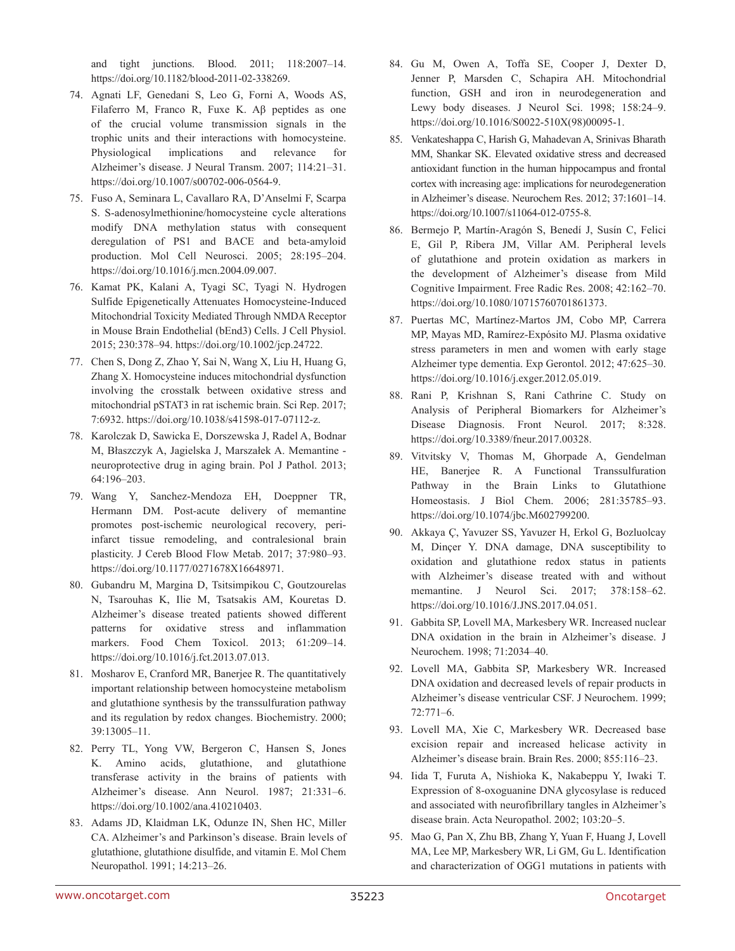and tight junctions. Blood. 2011; 118:2007–14. [https://doi.org/10.1182/blood-2011-02-338269.](https://doi.org/10.1182/blood-2011-02-338269)

- 74. Agnati LF, Genedani S, Leo G, Forni A, Woods AS, Filaferro M, Franco R, Fuxe K. Aβ peptides as one of the crucial volume transmission signals in the trophic units and their interactions with homocysteine. Physiological implications and relevance for Alzheimer's disease. J Neural Transm. 2007; 114:21–31. [https://doi.org/10.1007/s00702-006-0564-9.](https://doi.org/10.1007/s00702-006-0564-9)
- 75. Fuso A, Seminara L, Cavallaro RA, D'Anselmi F, Scarpa S. S-adenosylmethionine/homocysteine cycle alterations modify DNA methylation status with consequent deregulation of PS1 and BACE and beta-amyloid production. Mol Cell Neurosci. 2005; 28:195–204. <https://doi.org/10.1016/j.mcn.2004.09.007>.
- 76. Kamat PK, Kalani A, Tyagi SC, Tyagi N. Hydrogen Sulfide Epigenetically Attenuates Homocysteine-Induced Mitochondrial Toxicity Mediated Through NMDA Receptor in Mouse Brain Endothelial (bEnd3) Cells. J Cell Physiol. 2015; 230:378–94. [https://doi.org/10.1002/jcp.24722.](https://doi.org/10.1002/jcp.24722)
- 77. Chen S, Dong Z, Zhao Y, Sai N, Wang X, Liu H, Huang G, Zhang X. Homocysteine induces mitochondrial dysfunction involving the crosstalk between oxidative stress and mitochondrial pSTAT3 in rat ischemic brain. Sci Rep. 2017; 7:6932. [https://doi.org/10.1038/s41598-017-07112-z.](https://doi.org/10.1038/s41598-017-07112-z)
- 78. Karolczak D, Sawicka E, Dorszewska J, Radel A, Bodnar M, Błaszczyk A, Jagielska J, Marszałek A. Memantine neuroprotective drug in aging brain. Pol J Pathol. 2013; 64:196–203.
- 79. Wang Y, Sanchez-Mendoza EH, Doeppner TR, Hermann DM. Post-acute delivery of memantine promotes post-ischemic neurological recovery, periinfarct tissue remodeling, and contralesional brain plasticity. J Cereb Blood Flow Metab. 2017; 37:980–93. [https://doi.org/10.1177/0271678X16648971.](https://doi.org/10.1177/0271678X16648971)
- 80. Gubandru M, Margina D, Tsitsimpikou C, Goutzourelas N, Tsarouhas K, Ilie M, Tsatsakis AM, Kouretas D. Alzheimer's disease treated patients showed different patterns for oxidative stress and inflammation markers. Food Chem Toxicol. 2013; 61:209–14. <https://doi.org/10.1016/j.fct.2013.07.013>.
- 81. Mosharov E, Cranford MR, Banerjee R. The quantitatively important relationship between homocysteine metabolism and glutathione synthesis by the transsulfuration pathway and its regulation by redox changes. Biochemistry. 2000; 39:13005–11.
- 82. Perry TL, Yong VW, Bergeron C, Hansen S, Jones K. Amino acids, glutathione, and glutathione transferase activity in the brains of patients with Alzheimer's disease. Ann Neurol. 1987; 21:331–6. <https://doi.org/10.1002/ana.410210403>.
- 83. Adams JD, Klaidman LK, Odunze IN, Shen HC, Miller CA. Alzheimer's and Parkinson's disease. Brain levels of glutathione, glutathione disulfide, and vitamin E. Mol Chem Neuropathol. 1991; 14:213–26.
- 84. Gu M, Owen A, Toffa SE, Cooper J, Dexter D, Jenner P, Marsden C, Schapira AH. Mitochondrial function, GSH and iron in neurodegeneration and Lewy body diseases. J Neurol Sci. 1998; 158:24–9. [https://doi.org/10.1016/S0022-510X\(98\)00095-1](https://doi.org/10.1016/S0022-510X(98)00095-1).
- 85. Venkateshappa C, Harish G, Mahadevan A, Srinivas Bharath MM, Shankar SK. Elevated oxidative stress and decreased antioxidant function in the human hippocampus and frontal cortex with increasing age: implications for neurodegeneration in Alzheimer's disease. Neurochem Res. 2012; 37:1601–14. [https://doi.org/10.1007/s11064-012-0755-8.](https://doi.org/10.1007/s11064-012-0755-8)
- 86. Bermejo P, Martín-Aragón S, Benedí J, Susín C, Felici E, Gil P, Ribera JM, Villar AM. Peripheral levels of glutathione and protein oxidation as markers in the development of Alzheimer's disease from Mild Cognitive Impairment. Free Radic Res. 2008; 42:162–70. [https://doi.org/10.1080/10715760701861373.](https://doi.org/10.1080/10715760701861373)
- 87. Puertas MC, Martínez-Martos JM, Cobo MP, Carrera MP, Mayas MD, Ramírez-Expósito MJ. Plasma oxidative stress parameters in men and women with early stage Alzheimer type dementia. Exp Gerontol. 2012; 47:625–30. [https://doi.org/10.1016/j.exger.2012.05.019.](https://doi.org/10.1016/j.exger.2012.05.019)
- 88. Rani P, Krishnan S, Rani Cathrine C. Study on Analysis of Peripheral Biomarkers for Alzheimer's Disease Diagnosis. Front Neurol. 2017; 8:328. [https://doi.org/10.3389/fneur.2017.00328.](https://doi.org/10.3389/fneur.2017.00328)
- 89. Vitvitsky V, Thomas M, Ghorpade A, Gendelman HE, Banerjee R. A Functional Transsulfuration Pathway in the Brain Links to Glutathione Homeostasis. J Biol Chem. 2006; 281:35785–93. <https://doi.org/10.1074/jbc.M602799200>.
- 90. Akkaya Ç, Yavuzer SS, Yavuzer H, Erkol G, Bozluolcay M, Dinçer Y. DNA damage, DNA susceptibility to oxidation and glutathione redox status in patients with Alzheimer's disease treated with and without memantine. J Neurol Sci. 2017; 378:158–62. <https://doi.org/10.1016/J.JNS.2017.04.051>.
- 91. Gabbita SP, Lovell MA, Markesbery WR. Increased nuclear DNA oxidation in the brain in Alzheimer's disease. J Neurochem. 1998; 71:2034–40.
- 92. Lovell MA, Gabbita SP, Markesbery WR. Increased DNA oxidation and decreased levels of repair products in Alzheimer's disease ventricular CSF. J Neurochem. 1999; 72:771–6.
- 93. Lovell MA, Xie C, Markesbery WR. Decreased base excision repair and increased helicase activity in Alzheimer's disease brain. Brain Res. 2000; 855:116–23.
- 94. Iida T, Furuta A, Nishioka K, Nakabeppu Y, Iwaki T. Expression of 8-oxoguanine DNA glycosylase is reduced and associated with neurofibrillary tangles in Alzheimer's disease brain. Acta Neuropathol. 2002; 103:20–5.
- 95. Mao G, Pan X, Zhu BB, Zhang Y, Yuan F, Huang J, Lovell MA, Lee MP, Markesbery WR, Li GM, Gu L. Identification and characterization of OGG1 mutations in patients with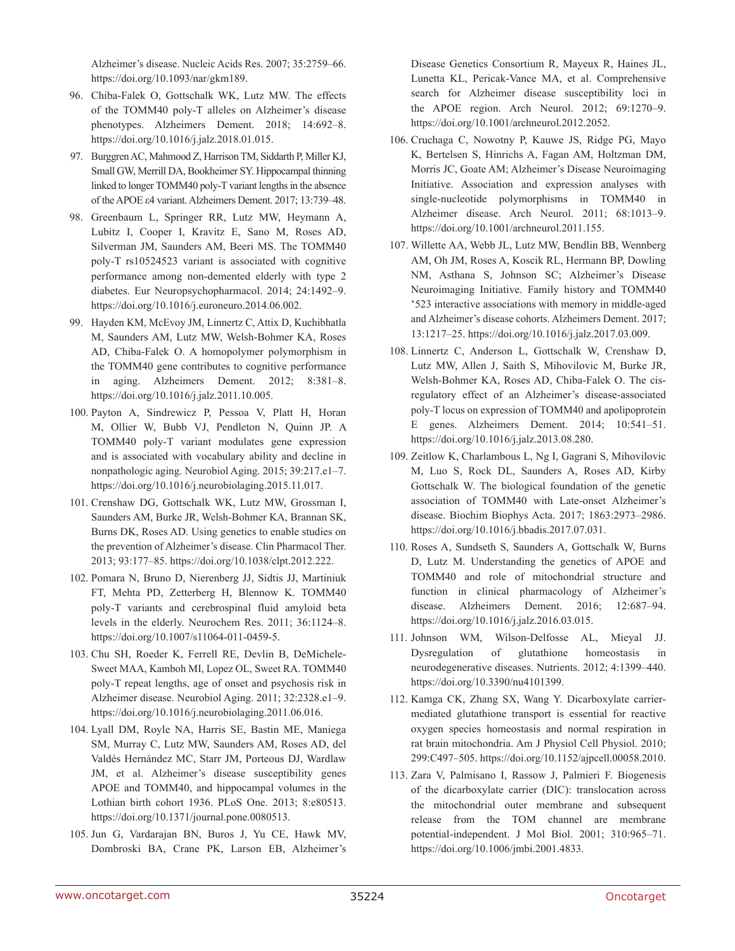Alzheimer's disease. Nucleic Acids Res. 2007; 35:2759–66. <https://doi.org/10.1093/nar/gkm189>.

- 96. Chiba-Falek O, Gottschalk WK, Lutz MW. The effects of the TOMM40 poly-T alleles on Alzheimer's disease phenotypes. Alzheimers Dement. 2018; 14:692–8. [https://doi.org/10.1016/j.jalz.2018.01.015.](https://doi.org/10.1016/j.jalz.2018.01.015)
- 97. Burggren AC, Mahmood Z, Harrison TM, Siddarth P, Miller KJ, Small GW, Merrill DA, Bookheimer SY. Hippocampal thinning linked to longer TOMM40 poly-T variant lengths in the absence of the APOE ε4 variant. Alzheimers Dement. 2017; 13:739–48.
- 98. Greenbaum L, Springer RR, Lutz MW, Heymann A, Lubitz I, Cooper I, Kravitz E, Sano M, Roses AD, Silverman JM, Saunders AM, Beeri MS. The TOMM40 poly-T rs10524523 variant is associated with cognitive performance among non-demented elderly with type 2 diabetes. Eur Neuropsychopharmacol. 2014; 24:1492–9. <https://doi.org/10.1016/j.euroneuro.2014.06.002>.
- 99. Hayden KM, McEvoy JM, Linnertz C, Attix D, Kuchibhatla M, Saunders AM, Lutz MW, Welsh-Bohmer KA, Roses AD, Chiba-Falek O. A homopolymer polymorphism in the TOMM40 gene contributes to cognitive performance in aging. Alzheimers Dement. 2012; 8:381–8. <https://doi.org/10.1016/j.jalz.2011.10.005>.
- 100. Payton A, Sindrewicz P, Pessoa V, Platt H, Horan M, Ollier W, Bubb VJ, Pendleton N, Quinn JP. A TOMM40 poly-T variant modulates gene expression and is associated with vocabulary ability and decline in nonpathologic aging. Neurobiol Aging. 2015; 39:217.e1–7. [https://doi.org/10.1016/j.neurobiolaging.2015.11.017.](https://doi.org/10.1016/j.neurobiolaging.2015.11.017)
- 101. Crenshaw DG, Gottschalk WK, Lutz MW, Grossman I, Saunders AM, Burke JR, Welsh-Bohmer KA, Brannan SK, Burns DK, Roses AD. Using genetics to enable studies on the prevention of Alzheimer's disease. Clin Pharmacol Ther. 2013; 93:177–85. <https://doi.org/10.1038/clpt.2012.222>.
- 102. Pomara N, Bruno D, Nierenberg JJ, Sidtis JJ, Martiniuk FT, Mehta PD, Zetterberg H, Blennow K. TOMM40 poly-T variants and cerebrospinal fluid amyloid beta levels in the elderly. Neurochem Res. 2011; 36:1124–8. <https://doi.org/10.1007/s11064-011-0459-5>.
- 103. Chu SH, Roeder K, Ferrell RE, Devlin B, DeMichele-Sweet MAA, Kamboh MI, Lopez OL, Sweet RA. TOMM40 poly-T repeat lengths, age of onset and psychosis risk in Alzheimer disease. Neurobiol Aging. 2011; 32:2328.e1–9. [https://doi.org/10.1016/j.neurobiolaging.2011.06.016.](https://doi.org/10.1016/j.neurobiolaging.2011.06.016)
- 104. Lyall DM, Royle NA, Harris SE, Bastin ME, Maniega SM, Murray C, Lutz MW, Saunders AM, Roses AD, del Valdés Hernández MC, Starr JM, Porteous DJ, Wardlaw JM, et al. Alzheimer's disease susceptibility genes APOE and TOMM40, and hippocampal volumes in the Lothian birth cohort 1936. PLoS One. 2013; 8:e80513. [https://doi.org/10.1371/journal.pone.0080513.](https://doi.org/10.1371/journal.pone.0080513)
- 105. Jun G, Vardarajan BN, Buros J, Yu CE, Hawk MV, Dombroski BA, Crane PK, Larson EB, Alzheimer's

Disease Genetics Consortium R, Mayeux R, Haines JL, Lunetta KL, Pericak-Vance MA, et al. Comprehensive search for Alzheimer disease susceptibility loci in the APOE region. Arch Neurol. 2012; 69:1270–9. <https://doi.org/10.1001/archneurol.2012.2052>.

- 106. Cruchaga C, Nowotny P, Kauwe JS, Ridge PG, Mayo K, Bertelsen S, Hinrichs A, Fagan AM, Holtzman DM, Morris JC, Goate AM; Alzheimer's Disease Neuroimaging Initiative. Association and expression analyses with single-nucleotide polymorphisms in TOMM40 in Alzheimer disease. Arch Neurol. 2011; 68:1013–9. <https://doi.org/10.1001/archneurol.2011.155>.
- 107. Willette AA, Webb JL, Lutz MW, Bendlin BB, Wennberg AM, Oh JM, Roses A, Koscik RL, Hermann BP, Dowling NM, Asthana S, Johnson SC; Alzheimer's Disease Neuroimaging Initiative. Family history and TOMM40 '523 interactive associations with memory in middle-aged and Alzheimer's disease cohorts. Alzheimers Dement. 2017; 13:1217–25. [https://doi.org/10.1016/j.jalz.2017.03.009.](https://doi.org/10.1016/j.jalz.2017.03.009)
- 108. Linnertz C, Anderson L, Gottschalk W, Crenshaw D, Lutz MW, Allen J, Saith S, Mihovilovic M, Burke JR, Welsh-Bohmer KA, Roses AD, Chiba-Falek O. The cisregulatory effect of an Alzheimer's disease-associated poly-T locus on expression of TOMM40 and apolipoprotein E genes. Alzheimers Dement. 2014; 10:541–51. <https://doi.org/10.1016/j.jalz.2013.08.280>.
- 109. Zeitlow K, Charlambous L, Ng I, Gagrani S, Mihovilovic M, Luo S, Rock DL, Saunders A, Roses AD, Kirby Gottschalk W. The biological foundation of the genetic association of TOMM40 with Late-onset Alzheimer's disease. Biochim Biophys Acta. 2017; 1863:2973–2986. [https://doi.org/10.1016/j.bbadis.2017.07.031.](https://doi.org/10.1016/j.bbadis.2017.07.031)
- 110. Roses A, Sundseth S, Saunders A, Gottschalk W, Burns D, Lutz M. Understanding the genetics of APOE and TOMM40 and role of mitochondrial structure and function in clinical pharmacology of Alzheimer's disease. Alzheimers Dement. 2016; 12:687–94. <https://doi.org/10.1016/j.jalz.2016.03.015>.
- 111. Johnson WM, Wilson-Delfosse AL, Mieyal JJ. Dysregulation of glutathione homeostasis in neurodegenerative diseases. Nutrients. 2012; 4:1399–440. [https://doi.org/10.3390/nu4101399.](https://doi.org/10.3390/nu4101399)
- 112. Kamga CK, Zhang SX, Wang Y. Dicarboxylate carriermediated glutathione transport is essential for reactive oxygen species homeostasis and normal respiration in rat brain mitochondria. Am J Physiol Cell Physiol. 2010; 299:C497–505. [https://doi.org/10.1152/ajpcell.00058.2010.](https://doi.org/10.1152/ajpcell.00058.2010)
- 113. Zara V, Palmisano I, Rassow J, Palmieri F. Biogenesis of the dicarboxylate carrier (DIC): translocation across the mitochondrial outer membrane and subsequent release from the TOM channel are membrane potential-independent. J Mol Biol. 2001; 310:965–71. <https://doi.org/10.1006/jmbi.2001.4833>.